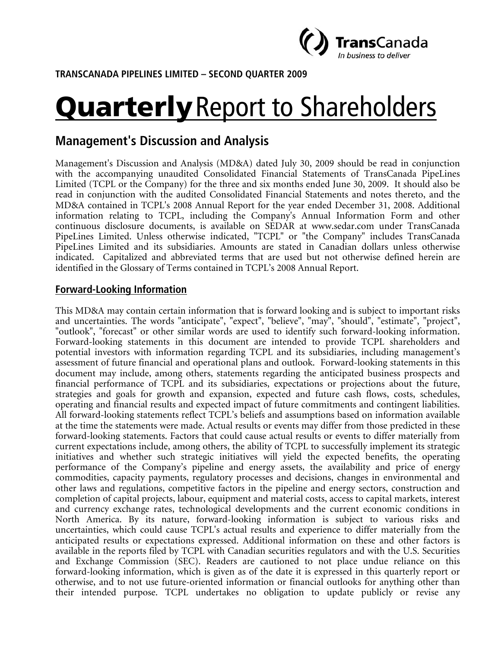

**TRANSCANADA PIPELINES LIMITED – SECOND QUARTER 2009** 

# **Quarterly** Report to Shareholders

# **Management's Discussion and Analysis**

Management's Discussion and Analysis (MD&A) dated July 30, 2009 should be read in conjunction with the accompanying unaudited Consolidated Financial Statements of TransCanada PipeLines Limited (TCPL or the Company) for the three and six months ended June 30, 2009. It should also be read in conjunction with the audited Consolidated Financial Statements and notes thereto, and the MD&A contained in TCPL's 2008 Annual Report for the year ended December 31, 2008. Additional information relating to TCPL, including the Company's Annual Information Form and other continuous disclosure documents, is available on SEDAR at www.sedar.com under TransCanada PipeLines Limited. Unless otherwise indicated, "TCPL" or "the Company" includes TransCanada PipeLines Limited and its subsidiaries. Amounts are stated in Canadian dollars unless otherwise indicated. Capitalized and abbreviated terms that are used but not otherwise defined herein are identified in the Glossary of Terms contained in TCPL's 2008 Annual Report.

# **Forward-Looking Information**

This MD&A may contain certain information that is forward looking and is subject to important risks and uncertainties. The words "anticipate", "expect", "believe", "may", "should", "estimate", "project", "outlook", "forecast" or other similar words are used to identify such forward-looking information. Forward-looking statements in this document are intended to provide TCPL shareholders and potential investors with information regarding TCPL and its subsidiaries, including management's assessment of future financial and operational plans and outlook. Forward-looking statements in this document may include, among others, statements regarding the anticipated business prospects and financial performance of TCPL and its subsidiaries, expectations or projections about the future, strategies and goals for growth and expansion, expected and future cash flows, costs, schedules, operating and financial results and expected impact of future commitments and contingent liabilities. All forward-looking statements reflect TCPL's beliefs and assumptions based on information available at the time the statements were made. Actual results or events may differ from those predicted in these forward-looking statements. Factors that could cause actual results or events to differ materially from current expectations include, among others, the ability of TCPL to successfully implement its strategic initiatives and whether such strategic initiatives will yield the expected benefits, the operating performance of the Company's pipeline and energy assets, the availability and price of energy commodities, capacity payments, regulatory processes and decisions, changes in environmental and other laws and regulations, competitive factors in the pipeline and energy sectors, construction and completion of capital projects, labour, equipment and material costs, access to capital markets, interest and currency exchange rates, technological developments and the current economic conditions in North America. By its nature, forward-looking information is subject to various risks and uncertainties, which could cause TCPL's actual results and experience to differ materially from the anticipated results or expectations expressed. Additional information on these and other factors is available in the reports filed by TCPL with Canadian securities regulators and with the U.S. Securities and Exchange Commission (SEC). Readers are cautioned to not place undue reliance on this forward-looking information, which is given as of the date it is expressed in this quarterly report or otherwise, and to not use future-oriented information or financial outlooks for anything other than their intended purpose. TCPL undertakes no obligation to update publicly or revise any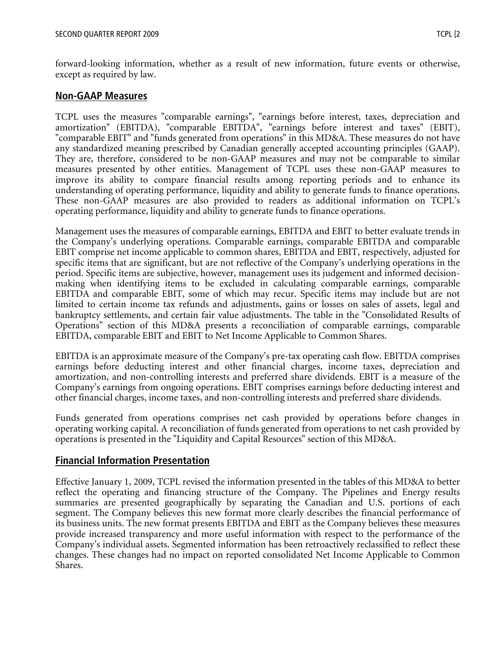forward-looking information, whether as a result of new information, future events or otherwise, except as required by law.

# **Non-GAAP Measures**

TCPL uses the measures "comparable earnings", "earnings before interest, taxes, depreciation and amortization" (EBITDA), "comparable EBITDA", "earnings before interest and taxes" (EBIT), "comparable EBIT" and "funds generated from operations" in this MD&A. These measures do not have any standardized meaning prescribed by Canadian generally accepted accounting principles (GAAP). They are, therefore, considered to be non-GAAP measures and may not be comparable to similar measures presented by other entities. Management of TCPL uses these non-GAAP measures to improve its ability to compare financial results among reporting periods and to enhance its understanding of operating performance, liquidity and ability to generate funds to finance operations. These non-GAAP measures are also provided to readers as additional information on TCPL's operating performance, liquidity and ability to generate funds to finance operations.

Management uses the measures of comparable earnings, EBITDA and EBIT to better evaluate trends in the Company's underlying operations. Comparable earnings, comparable EBITDA and comparable EBIT comprise net income applicable to common shares, EBITDA and EBIT, respectively, adjusted for specific items that are significant, but are not reflective of the Company's underlying operations in the period. Specific items are subjective, however, management uses its judgement and informed decisionmaking when identifying items to be excluded in calculating comparable earnings, comparable EBITDA and comparable EBIT, some of which may recur. Specific items may include but are not limited to certain income tax refunds and adjustments, gains or losses on sales of assets, legal and bankruptcy settlements, and certain fair value adjustments. The table in the "Consolidated Results of Operations" section of this MD&A presents a reconciliation of comparable earnings, comparable EBITDA, comparable EBIT and EBIT to Net Income Applicable to Common Shares.

EBITDA is an approximate measure of the Company's pre-tax operating cash flow. EBITDA comprises earnings before deducting interest and other financial charges, income taxes, depreciation and amortization, and non-controlling interests and preferred share dividends. EBIT is a measure of the Company's earnings from ongoing operations. EBIT comprises earnings before deducting interest and other financial charges, income taxes, and non-controlling interests and preferred share dividends.

Funds generated from operations comprises net cash provided by operations before changes in operating working capital. A reconciliation of funds generated from operations to net cash provided by operations is presented in the "Liquidity and Capital Resources" section of this MD&A.

# **Financial Information Presentation**

Effective January 1, 2009, TCPL revised the information presented in the tables of this MD&A to better reflect the operating and financing structure of the Company. The Pipelines and Energy results summaries are presented geographically by separating the Canadian and U.S. portions of each segment. The Company believes this new format more clearly describes the financial performance of its business units. The new format presents EBITDA and EBIT as the Company believes these measures provide increased transparency and more useful information with respect to the performance of the Company's individual assets. Segmented information has been retroactively reclassified to reflect these changes. These changes had no impact on reported consolidated Net Income Applicable to Common Shares.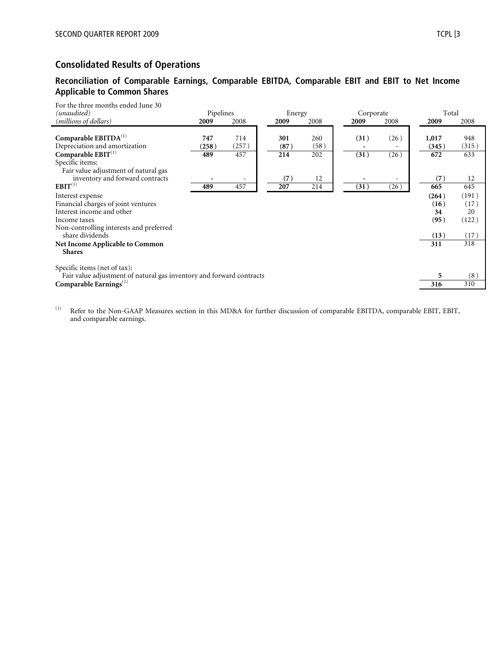# **Consolidated Results of Operations**

#### **Reconciliation of Comparable Earnings, Comparable EBITDA, Comparable EBIT and EBIT to Net Income Applicable to Common Shares**

| For the three months ended June 30<br>(unaudited)                                                                                    | Pipelines           |                     | Energy             |                    | Corporate    |              | Total                 |                     |
|--------------------------------------------------------------------------------------------------------------------------------------|---------------------|---------------------|--------------------|--------------------|--------------|--------------|-----------------------|---------------------|
| (millions of dollars)                                                                                                                | 2009                | 2008                | 2009               | 2008               | 2009         | 2008         | 2009                  | 2008                |
| Comparable $EBITDA(1)$<br>Depreciation and amortization<br>Comparable $EBIT^{(1)}$<br>Specific items:                                | 747<br>(258)<br>489 | 714<br>(257)<br>457 | 301<br>(87)<br>214 | 260<br>(58)<br>202 | (31)<br>(31) | (26)<br>(26) | 1,017<br>(345)<br>672 | 948<br>(315)<br>633 |
| Fair value adjustment of natural gas<br>inventory and forward contracts<br>$EBIT^{(1)}$                                              | 489                 | 457                 | (7)<br>207         | 12<br>214          | (31)         | (26)         | (7)<br>665            | 12<br>645           |
| Interest expense<br>Financial charges of joint ventures<br>Interest income and other                                                 |                     |                     |                    |                    |              |              | (264)<br>(16)<br>34   | (191)<br>(17)<br>20 |
| Income taxes<br>Non-controlling interests and preferred<br>share dividends                                                           |                     |                     |                    |                    |              |              | (95)<br>(13)          | (122)<br>(17)       |
| Net Income Applicable to Common<br><b>Shares</b>                                                                                     |                     |                     |                    |                    |              |              | 311                   | 318                 |
| Specific items (net of tax):<br>Fair value adjustment of natural gas inventory and forward contracts<br>Comparable Earnings $^{(1)}$ |                     |                     |                    |                    |              |              | 5<br>316              | (8)<br>310          |

<sup>(1)</sup> Refer to the Non-GAAP Measures section in this MD&A for further discussion of comparable EBITDA, comparable EBIT, EBIT, and comparable earnings.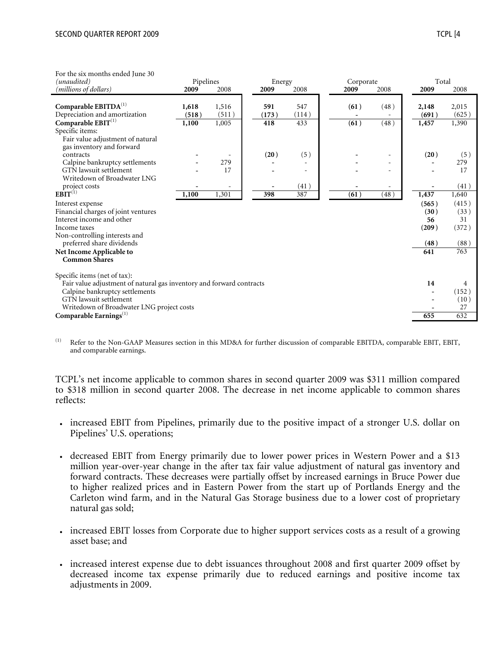| For the six months ended June 30                                     |           |       |       |        |       |                   |                          |       |       |
|----------------------------------------------------------------------|-----------|-------|-------|--------|-------|-------------------|--------------------------|-------|-------|
| (unaudited)                                                          | Pipelines |       |       | Energy |       | Corporate         |                          |       | Total |
| (millions of dollars)                                                | 2009      | 2008  | 2009  | 2008   |       | 2009              | 2008                     | 2009  | 2008  |
| Comparable EBITDA <sup>(1)</sup>                                     | 1,618     | 1,516 | 591   |        | 547   | (61)              | (48)                     | 2,148 | 2,015 |
| Depreciation and amortization                                        | (518)     | (511) | (173) |        | (114) |                   |                          | (691) | (625) |
| Comparable $\mathrm{EBIT}^{(1)}$                                     | 1,100     | 1,005 | 418   |        | 433   | $\overline{(61)}$ | (48)                     | 1,457 | 1,390 |
| Specific items:                                                      |           |       |       |        |       |                   |                          |       |       |
| Fair value adjustment of natural<br>gas inventory and forward        |           |       |       |        |       |                   |                          |       |       |
| contracts                                                            |           |       | (20)  |        | (5)   |                   |                          | (20)  | (5)   |
| Calpine bankruptcy settlements                                       |           | 279   |       |        |       |                   | $\equiv$                 |       | 279   |
| GTN lawsuit settlement                                               |           | 17    |       |        |       |                   | $\overline{\phantom{a}}$ |       | 17    |
| Writedown of Broadwater LNG                                          |           |       |       |        |       |                   |                          |       |       |
| project costs                                                        |           |       |       |        | (41)  |                   |                          |       | (41)  |
| $E\tilde{BIT}^{(1)}$                                                 | 1,100     | 1,301 | 398   |        | 387   | (61)              | (48)                     | 1,437 | 1,640 |
| Interest expense                                                     |           |       |       |        |       |                   |                          | (565) | (415) |
| Financial charges of joint ventures                                  |           |       |       |        |       |                   |                          | (30)  | (33)  |
| Interest income and other                                            |           |       |       |        |       |                   |                          | 56    | 31    |
| Income taxes                                                         |           |       |       |        |       |                   |                          | (209) | (372) |
| Non-controlling interests and<br>preferred share dividends           |           |       |       |        |       |                   |                          | (48)  | (88)  |
| Net Income Applicable to                                             |           |       |       |        |       |                   |                          | 641   | 763   |
| <b>Common Shares</b>                                                 |           |       |       |        |       |                   |                          |       |       |
|                                                                      |           |       |       |        |       |                   |                          |       |       |
| Specific items (net of tax):                                         |           |       |       |        |       |                   |                          |       |       |
| Fair value adjustment of natural gas inventory and forward contracts |           |       |       |        |       |                   |                          | 14    | 4     |
| Calpine bankruptcy settlements                                       |           |       |       |        |       |                   |                          |       | (152) |
| GTN lawsuit settlement                                               |           |       |       |        |       |                   |                          |       | (10)  |
| Writedown of Broadwater LNG project costs                            |           |       |       |        |       |                   |                          |       | 27    |
| Comparable Earnings $^{(1)}$                                         |           |       |       |        |       |                   |                          | 655   | 632   |
|                                                                      |           |       |       |        |       |                   |                          |       |       |

(1) Refer to the Non-GAAP Measures section in this MD&A for further discussion of comparable EBITDA, comparable EBIT, EBIT, and comparable earnings.

TCPL's net income applicable to common shares in second quarter 2009 was \$311 million compared to \$318 million in second quarter 2008. The decrease in net income applicable to common shares reflects:

- increased EBIT from Pipelines, primarily due to the positive impact of a stronger U.S. dollar on Pipelines' U.S. operations;
- decreased EBIT from Energy primarily due to lower power prices in Western Power and a \$13 million year-over-year change in the after tax fair value adjustment of natural gas inventory and forward contracts. These decreases were partially offset by increased earnings in Bruce Power due to higher realized prices and in Eastern Power from the start up of Portlands Energy and the Carleton wind farm, and in the Natural Gas Storage business due to a lower cost of proprietary natural gas sold;
- increased EBIT losses from Corporate due to higher support services costs as a result of a growing asset base; and
- increased interest expense due to debt issuances throughout 2008 and first quarter 2009 offset by decreased income tax expense primarily due to reduced earnings and positive income tax adjustments in 2009.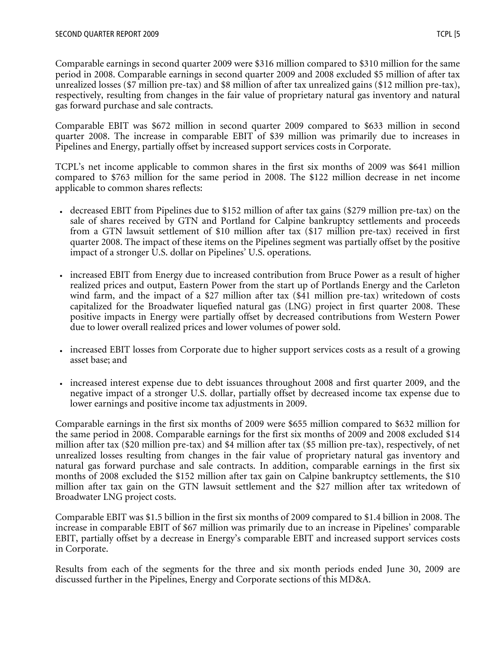Comparable earnings in second quarter 2009 were \$316 million compared to \$310 million for the same period in 2008. Comparable earnings in second quarter 2009 and 2008 excluded \$5 million of after tax unrealized losses (\$7 million pre-tax) and \$8 million of after tax unrealized gains (\$12 million pre-tax), respectively, resulting from changes in the fair value of proprietary natural gas inventory and natural gas forward purchase and sale contracts.

Comparable EBIT was \$672 million in second quarter 2009 compared to \$633 million in second quarter 2008. The increase in comparable EBIT of \$39 million was primarily due to increases in Pipelines and Energy, partially offset by increased support services costs in Corporate.

TCPL's net income applicable to common shares in the first six months of 2009 was \$641 million compared to \$763 million for the same period in 2008. The \$122 million decrease in net income applicable to common shares reflects:

- decreased EBIT from Pipelines due to \$152 million of after tax gains (\$279 million pre-tax) on the sale of shares received by GTN and Portland for Calpine bankruptcy settlements and proceeds from a GTN lawsuit settlement of \$10 million after tax (\$17 million pre-tax) received in first quarter 2008. The impact of these items on the Pipelines segment was partially offset by the positive impact of a stronger U.S. dollar on Pipelines' U.S. operations.
- •increased EBIT from Energy due to increased contribution from Bruce Power as a result of higher realized prices and output, Eastern Power from the start up of Portlands Energy and the Carleton wind farm, and the impact of a \$27 million after tax (\$41 million pre-tax) writedown of costs capitalized for the Broadwater liquefied natural gas (LNG) project in first quarter 2008. These positive impacts in Energy were partially offset by decreased contributions from Western Power due to lower overall realized prices and lower volumes of power sold.
- increased EBIT losses from Corporate due to higher support services costs as a result of a growing asset base; and
- increased interest expense due to debt issuances throughout 2008 and first quarter 2009, and the negative impact of a stronger U.S. dollar, partially offset by decreased income tax expense due to lower earnings and positive income tax adjustments in 2009.

Comparable earnings in the first six months of 2009 were \$655 million compared to \$632 million for the same period in 2008. Comparable earnings for the first six months of 2009 and 2008 excluded \$14 million after tax (\$20 million pre-tax) and \$4 million after tax (\$5 million pre-tax), respectively, of net unrealized losses resulting from changes in the fair value of proprietary natural gas inventory and natural gas forward purchase and sale contracts. In addition, comparable earnings in the first six months of 2008 excluded the \$152 million after tax gain on Calpine bankruptcy settlements, the \$10 million after tax gain on the GTN lawsuit settlement and the \$27 million after tax writedown of Broadwater LNG project costs.

Comparable EBIT was \$1.5 billion in the first six months of 2009 compared to \$1.4 billion in 2008. The increase in comparable EBIT of \$67 million was primarily due to an increase in Pipelines' comparable EBIT, partially offset by a decrease in Energy's comparable EBIT and increased support services costs in Corporate.

Results from each of the segments for the three and six month periods ended June 30, 2009 are discussed further in the Pipelines, Energy and Corporate sections of this MD&A.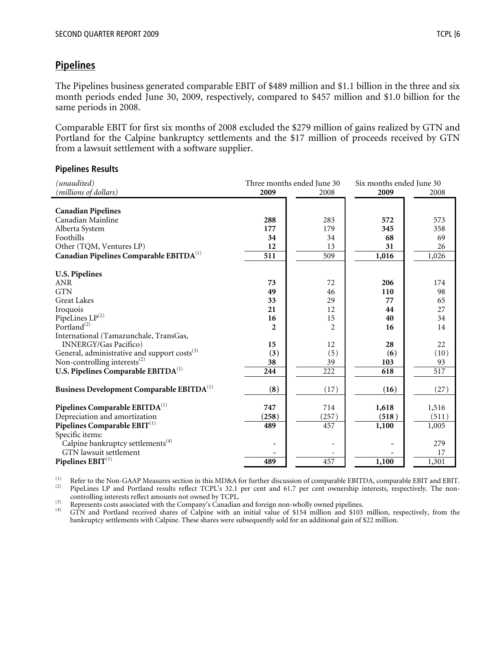# **Pipelines**

The Pipelines business generated comparable EBIT of \$489 million and \$1.1 billion in the three and six month periods ended June 30, 2009, respectively, compared to \$457 million and \$1.0 billion for the same periods in 2008.

Comparable EBIT for first six months of 2008 excluded the \$279 million of gains realized by GTN and Portland for the Calpine bankruptcy settlements and the \$17 million of proceeds received by GTN from a lawsuit settlement with a software supplier.

#### **Pipelines Results**

| (unaudited)                                              |                | Three months ended June 30 | Six months ended June 30 |       |  |  |
|----------------------------------------------------------|----------------|----------------------------|--------------------------|-------|--|--|
| (millions of dollars)                                    | 2009           | 2008                       | 2009                     | 2008  |  |  |
|                                                          |                |                            |                          |       |  |  |
| <b>Canadian Pipelines</b>                                |                |                            |                          |       |  |  |
| Canadian Mainline                                        | 288            | 283                        | 572                      | 573   |  |  |
| Alberta System                                           | 177            | 179                        | 345                      | 358   |  |  |
| Foothills                                                | 34             | 34                         | 68                       | 69    |  |  |
| Other (TQM, Ventures LP)                                 | 12             | 13                         | 31                       | 26    |  |  |
| Canadian Pipelines Comparable EBITDA <sup>(1)</sup>      | 511            | 509                        | 1,016                    | 1,026 |  |  |
| <b>U.S. Pipelines</b>                                    |                |                            |                          |       |  |  |
| <b>ANR</b>                                               | 73             | 72                         | 206                      | 174   |  |  |
| <b>GTN</b>                                               | 49             | 46                         | 110                      | 98    |  |  |
| <b>Great Lakes</b>                                       | 33             | 29                         | 77                       | 65    |  |  |
| Iroquois                                                 | 21             | 12                         | 44                       | 27    |  |  |
| PipeLines LP(2)                                          | 16             | 15                         | 40                       | 34    |  |  |
| Portland $^{(2)}$                                        | $\mathfrak{p}$ | 2                          | 16                       | 14    |  |  |
| International (Tamazunchale, TransGas,                   |                |                            |                          |       |  |  |
| <b>INNERGY/Gas Pacifico)</b>                             | 15             | 12                         | 28                       | 22    |  |  |
| General, administrative and support costs <sup>(3)</sup> | (3)            | (5)                        | (6)                      | (10)  |  |  |
| Non-controlling interests <sup>(2)</sup>                 | 38             | 39                         | 103                      | 93    |  |  |
| U.S. Pipelines Comparable EBITDA <sup>(1)</sup>          | 244            | 222                        | 618                      | 517   |  |  |
| Business Development Comparable EBITDA <sup>(1)</sup>    | (8)            | (17)                       | (16)                     | (27)  |  |  |
| Pipelines Comparable EBITDA <sup>(1)</sup>               | 747            | 714                        | 1,618                    | 1,516 |  |  |
| Depreciation and amortization                            | (258)          | (257)                      | (518)                    | (511) |  |  |
| Pipelines Comparable $\mathrm{EBIT}^{(1)}$               | 489            | 457                        | 1,100                    | 1,005 |  |  |
| Specific items:                                          |                |                            |                          |       |  |  |
| Calpine bankruptcy settlements <sup>(4)</sup>            |                |                            |                          | 279   |  |  |
| GTN lawsuit settlement                                   |                |                            |                          | 17    |  |  |
| Pipelines $\mathrm{EBIT}^{(1)}$                          | 489            | 457                        | 1,100                    | 1,301 |  |  |

(1) Refer to the Non-GAAP Measures section in this MD&A for further discussion of comparable EBITDA, comparable EBIT and EBIT.<br>
(2) PipeLines LP and Portland results reflect TCPL's 32.1 per cent and 61.7 per cent ownershi

(3) Represents costs associated with the Company's Canadian and foreign non-wholly owned pipelines.<br>(4) GTN and Portland received shares of Calpine with an initial value of \$154 million and \$103 million, respectively, from bankruptcy settlements with Calpine. These shares were subsequently sold for an additional gain of \$22 million.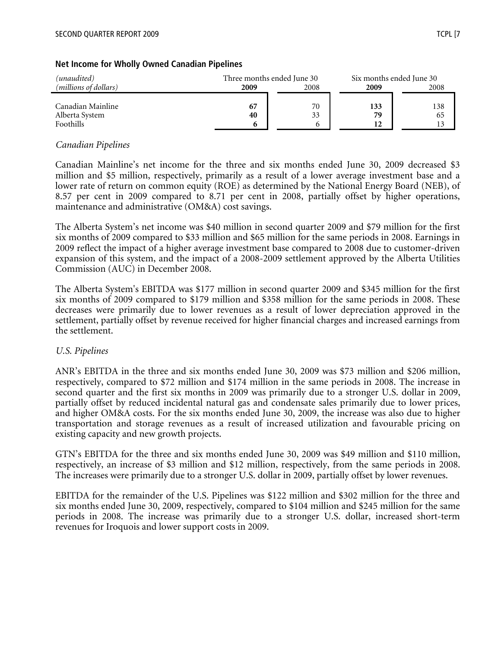| (unaudited)                    | Three months ended June 30 |    |     | Six months ended June 30 |
|--------------------------------|----------------------------|----|-----|--------------------------|
| ( <i>millions of dollars</i> ) | 2008<br>2009<br>2009       |    |     | 2008                     |
|                                |                            |    |     |                          |
| Canadian Mainline              |                            | 70 | 133 | 138                      |
| Alberta System                 | 40                         | 33 | 79  | 65                       |
| Foothills                      |                            |    | 12  | 13                       |

#### **Net Income for Wholly Owned Canadian Pipelines**

#### *Canadian Pipelines*

Canadian Mainline's net income for the three and six months ended June 30, 2009 decreased \$3 million and \$5 million, respectively, primarily as a result of a lower average investment base and a lower rate of return on common equity (ROE) as determined by the National Energy Board (NEB), of 8.57 per cent in 2009 compared to 8.71 per cent in 2008, partially offset by higher operations, maintenance and administrative (OM&A) cost savings.

The Alberta System's net income was \$40 million in second quarter 2009 and \$79 million for the first six months of 2009 compared to \$33 million and \$65 million for the same periods in 2008. Earnings in 2009 reflect the impact of a higher average investment base compared to 2008 due to customer-driven expansion of this system, and the impact of a 2008-2009 settlement approved by the Alberta Utilities Commission (AUC) in December 2008.

The Alberta System's EBITDA was \$177 million in second quarter 2009 and \$345 million for the first six months of 2009 compared to \$179 million and \$358 million for the same periods in 2008. These decreases were primarily due to lower revenues as a result of lower depreciation approved in the settlement, partially offset by revenue received for higher financial charges and increased earnings from the settlement.

#### *U.S. Pipelines*

ANR's EBITDA in the three and six months ended June 30, 2009 was \$73 million and \$206 million, respectively, compared to \$72 million and \$174 million in the same periods in 2008. The increase in second quarter and the first six months in 2009 was primarily due to a stronger U.S. dollar in 2009, partially offset by reduced incidental natural gas and condensate sales primarily due to lower prices, and higher OM&A costs. For the six months ended June 30, 2009, the increase was also due to higher transportation and storage revenues as a result of increased utilization and favourable pricing on existing capacity and new growth projects.

GTN's EBITDA for the three and six months ended June 30, 2009 was \$49 million and \$110 million, respectively, an increase of \$3 million and \$12 million, respectively, from the same periods in 2008. The increases were primarily due to a stronger U.S. dollar in 2009, partially offset by lower revenues.

EBITDA for the remainder of the U.S. Pipelines was \$122 million and \$302 million for the three and six months ended June 30, 2009, respectively, compared to \$104 million and \$245 million for the same periods in 2008. The increase was primarily due to a stronger U.S. dollar, increased short-term revenues for Iroquois and lower support costs in 2009.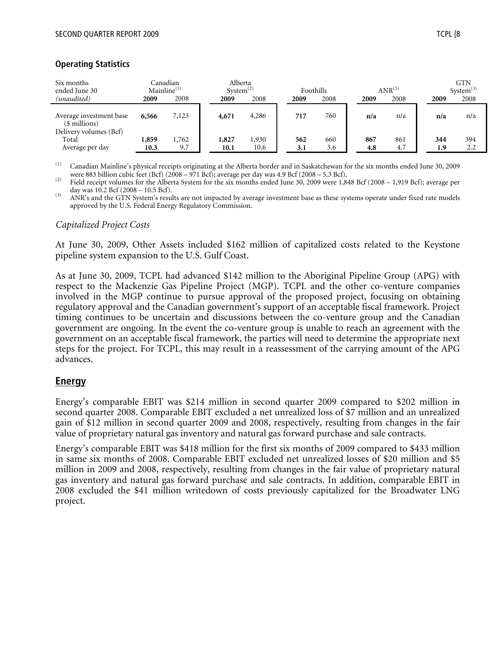#### **Operating Statistics**

| Six months<br>ended June 30                                        |       | Canadian<br>Mainline <sup>(1)</sup> | Alberta<br>System <sup>(2)</sup> |       | Foothills |      |      | $ANR^{(3)}$ |      | <b>GTN</b><br>$System^{(3)}$ |
|--------------------------------------------------------------------|-------|-------------------------------------|----------------------------------|-------|-----------|------|------|-------------|------|------------------------------|
| (unaudited)                                                        | 2009  | 2008                                | 2009                             | 2008  | 2009      | 2008 | 2009 | 2008        | 2009 | 2008                         |
| Average investment base<br>(\$ millions)<br>Delivery volumes (Bcf) | 6,566 | 7,123                               | 4,671                            | 4,286 | 717       | 760  | n/a  | n/a         | n/a  | n/a                          |
| Total                                                              | 1,859 | 1,762                               | 1,827                            | 1,930 | 562       | 660  | 867  | 861         | 344  | 394                          |
| Average per day                                                    | 10.3  | 9.7                                 | 10.1                             | 10.6  | 3.1       | 3.6  | 4.8  | 4.7         | 1.9  | 2.2                          |

(1) Canadian Mainline's physical receipts originating at the Alberta border and in Saskatchewan for the six months ended June 30, 2009 were 883 billion cubic feet (Bcf) (2008 – 971 Bcf); average per day was 4.9 Bcf (2008

<sup>(2)</sup> Field receipt volumes for the Alberta System for the six months ended June 30, 2009 were 1,848 Bcf (2008 – 1,919 Bcf); average per day was 10.2 Bcf (2008 – 10.5 Bcf).<br>
(3) ANR's and the GTN System's results are not impacted by average investment base as these systems operate under fixed rate models

approved by the U.S. Federal Energy Regulatory Commission.

#### *Capitalized Project Costs*

At June 30, 2009, Other Assets included \$162 million of capitalized costs related to the Keystone pipeline system expansion to the U.S. Gulf Coast.

As at June 30, 2009, TCPL had advanced \$142 million to the Aboriginal Pipeline Group (APG) with respect to the Mackenzie Gas Pipeline Project (MGP). TCPL and the other co-venture companies involved in the MGP continue to pursue approval of the proposed project, focusing on obtaining regulatory approval and the Canadian government's support of an acceptable fiscal framework. Project timing continues to be uncertain and discussions between the co-venture group and the Canadian government are ongoing. In the event the co-venture group is unable to reach an agreement with the government on an acceptable fiscal framework, the parties will need to determine the appropriate next steps for the project. For TCPL, this may result in a reassessment of the carrying amount of the APG advances.

## **Energy**

Energy's comparable EBIT was \$214 million in second quarter 2009 compared to \$202 million in second quarter 2008. Comparable EBIT excluded a net unrealized loss of \$7 million and an unrealized gain of \$12 million in second quarter 2009 and 2008, respectively, resulting from changes in the fair value of proprietary natural gas inventory and natural gas forward purchase and sale contracts.

Energy's comparable EBIT was \$418 million for the first six months of 2009 compared to \$433 million in same six months of 2008. Comparable EBIT excluded net unrealized losses of \$20 million and \$5 million in 2009 and 2008, respectively, resulting from changes in the fair value of proprietary natural gas inventory and natural gas forward purchase and sale contracts. In addition, comparable EBIT in 2008 excluded the \$41 million writedown of costs previously capitalized for the Broadwater LNG project.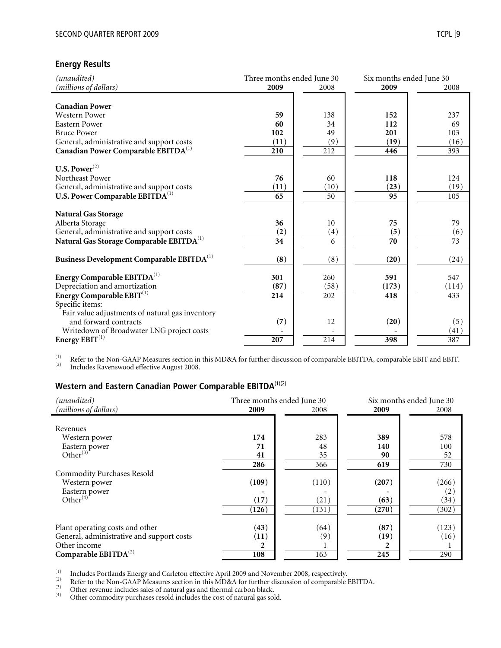#### **Energy Results**

| (unaudited)                                           | Three months ended June 30 |      | Six months ended June 30 |                 |
|-------------------------------------------------------|----------------------------|------|--------------------------|-----------------|
| (millions of dollars)                                 | 2009                       | 2008 | 2009                     | 2008            |
|                                                       |                            |      |                          |                 |
| <b>Canadian Power</b>                                 |                            |      |                          |                 |
| <b>Western Power</b>                                  | 59                         | 138  | 152                      | 237             |
| <b>Eastern Power</b>                                  | 60                         | 34   | 112                      | 69              |
| <b>Bruce Power</b>                                    | 102                        | 49   | 201                      | 103             |
| General, administrative and support costs             | (11)                       | (9)  | (19)                     | (16)            |
| Canadian Power Comparable EBITDA <sup>(1)</sup>       | 210                        | 212  | 446                      | 393             |
|                                                       |                            |      |                          |                 |
| U.S. Power $^{(2)}$                                   |                            |      |                          |                 |
| Northeast Power                                       | 76                         | 60   | 118                      | 124             |
| General, administrative and support costs             | (11)                       | (10) | (23)                     | (19)            |
| U.S. Power Comparable EBITDA <sup>(1)</sup>           | 65                         | 50   | 95                       | 105             |
|                                                       |                            |      |                          |                 |
| <b>Natural Gas Storage</b>                            |                            |      |                          |                 |
| Alberta Storage                                       | 36                         | 10   | 75                       | 79              |
| General, administrative and support costs             | (2)                        | (4)  | (5)                      | (6)             |
| Natural Gas Storage Comparable EBITDA <sup>(1)</sup>  | 34                         | 6    | 70                       | $\overline{73}$ |
|                                                       |                            |      |                          |                 |
| Business Development Comparable EBITDA <sup>(1)</sup> | (8)                        | (8)  | (20)                     | (24)            |
|                                                       |                            |      |                          |                 |
| Energy Comparable EBITDA <sup>(1)</sup>               | 301                        | 260  | 591                      | 547             |
| Depreciation and amortization                         | (87)                       | (58) | (173)                    | (114)           |
| Energy Comparable EBIT <sup>(1)</sup>                 | 214                        | 202  | 418                      | 433             |
| Specific items:                                       |                            |      |                          |                 |
| Fair value adjustments of natural gas inventory       |                            |      |                          |                 |
| and forward contracts                                 | (7)                        | 12   | (20)                     | (5)             |
| Writedown of Broadwater LNG project costs             |                            |      |                          | (41)            |
| Energy $EBIT^{(1)}$                                   | 207                        | 214  | 398                      | 387             |

(1) Refer to the Non-GAAP Measures section in this MD&A for further discussion of comparable EBITDA, comparable EBIT and EBIT.<br>Includes Ravenswood effective August 2008.

# **Western and Eastern Canadian Power Comparable EBITDA**(1)(2)

| (unaudited)                               |           | Three months ended June 30 | Six months ended June 30 |       |  |
|-------------------------------------------|-----------|----------------------------|--------------------------|-------|--|
| (millions of dollars)                     | 2009      | 2008                       | 2009                     | 2008  |  |
|                                           |           |                            |                          |       |  |
| Revenues                                  |           |                            |                          |       |  |
| Western power                             | 174       | 283                        | 389                      | 578   |  |
| Eastern power                             | 71        | 48                         | 140                      | 100   |  |
| Other $^{(3)}$                            | 41        | 35                         | 90                       | 52    |  |
|                                           | 286       | 366                        | 619                      | 730   |  |
| <b>Commodity Purchases Resold</b>         |           |                            |                          |       |  |
| Western power                             | (109)     | (110)                      | (207)                    | (266) |  |
| Eastern power                             |           |                            |                          | (2)   |  |
| Other <sup>(4)</sup>                      | $^{(17)}$ | (21)                       | (63)                     | (34)  |  |
|                                           | (126)     | (131)                      | (270)                    | (302) |  |
|                                           |           |                            |                          |       |  |
| Plant operating costs and other           | (43)      | (64)                       | (87)                     | (123) |  |
| General, administrative and support costs | (11)      | (9)                        | (19)                     | (16)  |  |
| Other income                              |           |                            |                          |       |  |
| Comparable $EBITDA^{(2)}$                 | 108       | 163                        | 245                      | 290   |  |

The Unider Section of Carleton effective April 2009 and November 2008, respectively.<br>
(2) Refer to the Non-GAAP Measures section in this MD&A for further discussion of comparable EBITDA.<br>
(3) Other revenue includes sales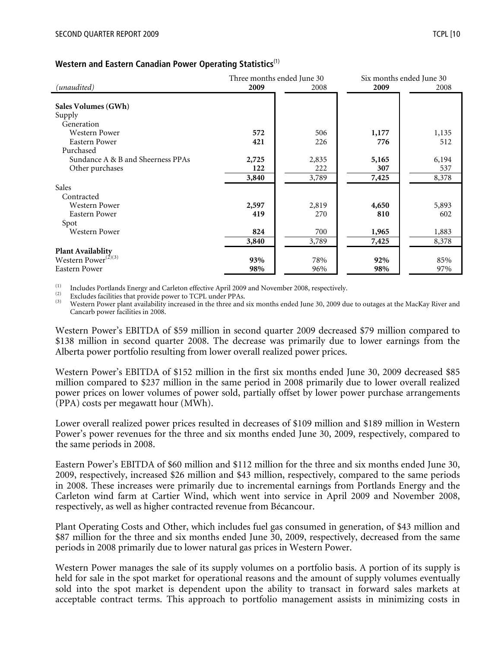#### **Western and Eastern Canadian Power Operating Statistics**(1)

|                                                             |       | Three months ended June 30 | Six months ended June 30 |       |  |
|-------------------------------------------------------------|-------|----------------------------|--------------------------|-------|--|
| (unaudited)                                                 | 2009  | 2008                       | 2009                     | 2008  |  |
|                                                             |       |                            |                          |       |  |
| Sales Volumes (GWh)                                         |       |                            |                          |       |  |
| Supply                                                      |       |                            |                          |       |  |
| Generation                                                  |       |                            |                          |       |  |
| <b>Western Power</b>                                        | 572   | 506                        | 1,177                    | 1,135 |  |
| Eastern Power                                               | 421   | 226                        | 776                      | 512   |  |
| Purchased                                                   |       |                            |                          |       |  |
| Sundance A & B and Sheerness PPAs                           | 2,725 | 2,835                      | 5,165                    | 6,194 |  |
| Other purchases                                             | 122   | 222                        | 307                      | 537   |  |
|                                                             | 3,840 | 3,789                      | 7,425                    | 8,378 |  |
| Sales                                                       |       |                            |                          |       |  |
| Contracted                                                  |       |                            |                          |       |  |
| <b>Western Power</b>                                        | 2,597 | 2,819                      | 4,650                    | 5,893 |  |
| Eastern Power                                               | 419   | 270                        | 810                      | 602   |  |
| Spot                                                        |       |                            |                          |       |  |
| <b>Western Power</b>                                        | 824   | 700                        | 1,965                    | 1,883 |  |
|                                                             | 3,840 | 3,789                      | 7,425                    | 8,378 |  |
| <b>Plant Availablity</b><br>Western Power <sup>(2)(3)</sup> |       |                            |                          |       |  |
|                                                             | 93%   | 78%                        | 92%                      | 85%   |  |
| <b>Eastern Power</b>                                        | 98%   | 96%                        | 98%                      | 97%   |  |

The Supersection of the Portlands Energy and Carleton effective April 2009 and November 2008, respectively.<br>
(2) Excludes facilities that provide power to TCPL under PPAs.<br>
(3) Western Power plant availability increased i Cancarb power facilities in 2008.

Western Power's EBITDA of \$59 million in second quarter 2009 decreased \$79 million compared to \$138 million in second quarter 2008. The decrease was primarily due to lower earnings from the Alberta power portfolio resulting from lower overall realized power prices.

Western Power's EBITDA of \$152 million in the first six months ended June 30, 2009 decreased \$85 million compared to \$237 million in the same period in 2008 primarily due to lower overall realized power prices on lower volumes of power sold, partially offset by lower power purchase arrangements (PPA) costs per megawatt hour (MWh).

Lower overall realized power prices resulted in decreases of \$109 million and \$189 million in Western Power's power revenues for the three and six months ended June 30, 2009, respectively, compared to the same periods in 2008.

Eastern Power's EBITDA of \$60 million and \$112 million for the three and six months ended June 30, 2009, respectively, increased \$26 million and \$43 million, respectively, compared to the same periods in 2008. These increases were primarily due to incremental earnings from Portlands Energy and the Carleton wind farm at Cartier Wind, which went into service in April 2009 and November 2008, respectively, as well as higher contracted revenue from Bécancour.

Plant Operating Costs and Other, which includes fuel gas consumed in generation, of \$43 million and \$87 million for the three and six months ended June 30, 2009, respectively, decreased from the same periods in 2008 primarily due to lower natural gas prices in Western Power.

Western Power manages the sale of its supply volumes on a portfolio basis. A portion of its supply is held for sale in the spot market for operational reasons and the amount of supply volumes eventually sold into the spot market is dependent upon the ability to transact in forward sales markets at acceptable contract terms. This approach to portfolio management assists in minimizing costs in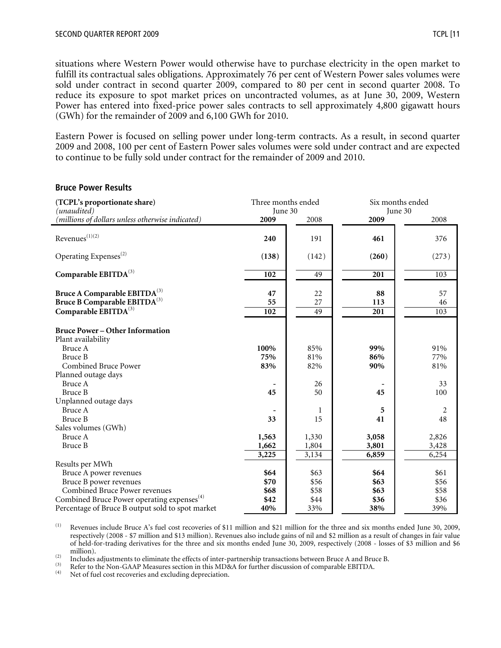situations where Western Power would otherwise have to purchase electricity in the open market to fulfill its contractual sales obligations. Approximately 76 per cent of Western Power sales volumes were sold under contract in second quarter 2009, compared to 80 per cent in second quarter 2008. To reduce its exposure to spot market prices on uncontracted volumes, as at June 30, 2009, Western Power has entered into fixed-price power sales contracts to sell approximately 4,800 gigawatt hours (GWh) for the remainder of 2009 and 6,100 GWh for 2010.

Eastern Power is focused on selling power under long-term contracts. As a result, in second quarter 2009 and 2008, 100 per cent of Eastern Power sales volumes were sold under contract and are expected to continue to be fully sold under contract for the remainder of 2009 and 2010.

#### **Bruce Power Results**

| (TCPL's proportionate share)<br>(unaudited)                                                                                                 | Three months ended<br>June 30 |                     | Six months ended<br>June 30 |                     |  |
|---------------------------------------------------------------------------------------------------------------------------------------------|-------------------------------|---------------------|-----------------------------|---------------------|--|
| (millions of dollars unless otherwise indicated)                                                                                            | 2009                          | 2008                | 2009                        | 2008                |  |
| $Revenues^{(1)(2)}$                                                                                                                         | 240                           | 191                 | 461                         | 376                 |  |
| Operating Expenses <sup>(2)</sup>                                                                                                           | (138)                         | (142)               | (260)                       | (273)               |  |
| Comparable EBITDA(3)                                                                                                                        | 102                           | 49                  | 201                         | 103                 |  |
| Bruce A Comparable EBITDA <sup>(3)</sup><br>Bruce B Comparable EBITDA <sup>(3)</sup><br>Comparable EBITDA(3)                                | 47<br>55<br>102               | 22<br>27<br>49      | 88<br>113<br>201            | 57<br>46<br>103     |  |
| <b>Bruce Power - Other Information</b><br>Plant availability                                                                                |                               |                     |                             |                     |  |
| Bruce A<br>Bruce B<br><b>Combined Bruce Power</b>                                                                                           | 100%<br>75%<br>83%            | 85%<br>81%<br>82%   | 99%<br>86%<br>90%           | 91%<br>77%<br>81%   |  |
| Planned outage days<br>Bruce A<br>Bruce B                                                                                                   | 45                            | 26<br>50            | 45                          | 33<br>100           |  |
| Unplanned outage days<br>Bruce A                                                                                                            |                               | 1                   | 5                           | 2                   |  |
| Bruce B<br>Sales volumes (GWh)<br>Bruce A                                                                                                   | 33<br>1,563                   | 15<br>1,330         | 41<br>3,058                 | 48<br>2,826         |  |
| Bruce B                                                                                                                                     | 1,662<br>3,225                | 1,804<br>3,134      | 3,801<br>6,859              | 3,428<br>6,254      |  |
| Results per MWh<br>Bruce A power revenues<br>Bruce B power revenues                                                                         | \$64<br>\$70                  | \$63<br>\$56        | \$64<br>\$63                | \$61<br>\$56        |  |
| Combined Bruce Power revenues<br>Combined Bruce Power operating expenses <sup>(4)</sup><br>Percentage of Bruce B output sold to spot market | \$68<br>\$42<br>40%           | \$58<br>\$44<br>33% | \$63<br>\$36<br>38%         | \$58<br>\$36<br>39% |  |

(1) Revenues include Bruce A's fuel cost recoveries of \$11 million and \$21 million for the three and six months ended June 30, 2009, respectively (2008 - \$7 million and \$13 million). Revenues also include gains of nil and \$2 million as a result of changes in fair value of held-for-trading derivatives for the three and six months ended June 30, 2009, respectively (2008 - losses of \$3 million and \$6

The interval includes adjustments to eliminate the effects of inter-partnership transactions between Bruce A and Bruce B.<br>
Refer to the Non-GAAP Measures section in this MD&A for further discussion of comparable EBITDA.<br>
(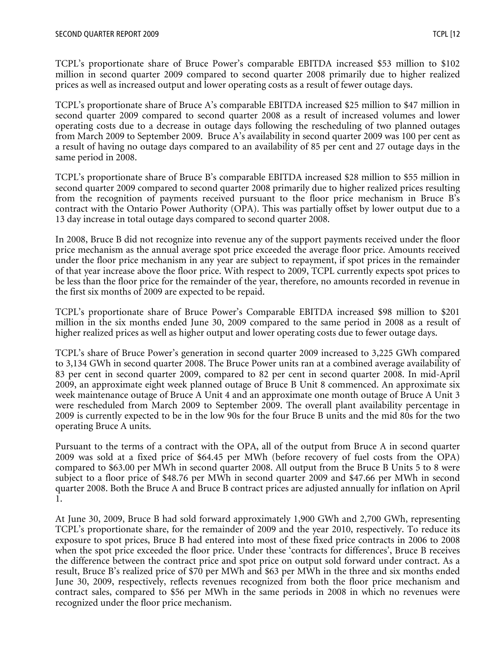TCPL's proportionate share of Bruce Power's comparable EBITDA increased \$53 million to \$102 million in second quarter 2009 compared to second quarter 2008 primarily due to higher realized prices as well as increased output and lower operating costs as a result of fewer outage days.

TCPL's proportionate share of Bruce A's comparable EBITDA increased \$25 million to \$47 million in second quarter 2009 compared to second quarter 2008 as a result of increased volumes and lower operating costs due to a decrease in outage days following the rescheduling of two planned outages from March 2009 to September 2009. Bruce A's availability in second quarter 2009 was 100 per cent as a result of having no outage days compared to an availability of 85 per cent and 27 outage days in the same period in 2008.

TCPL's proportionate share of Bruce B's comparable EBITDA increased \$28 million to \$55 million in second quarter 2009 compared to second quarter 2008 primarily due to higher realized prices resulting from the recognition of payments received pursuant to the floor price mechanism in Bruce B's contract with the Ontario Power Authority (OPA). This was partially offset by lower output due to a 13 day increase in total outage days compared to second quarter 2008.

In 2008, Bruce B did not recognize into revenue any of the support payments received under the floor price mechanism as the annual average spot price exceeded the average floor price. Amounts received under the floor price mechanism in any year are subject to repayment, if spot prices in the remainder of that year increase above the floor price. With respect to 2009, TCPL currently expects spot prices to be less than the floor price for the remainder of the year, therefore, no amounts recorded in revenue in the first six months of 2009 are expected to be repaid.

TCPL's proportionate share of Bruce Power's Comparable EBITDA increased \$98 million to \$201 million in the six months ended June 30, 2009 compared to the same period in 2008 as a result of higher realized prices as well as higher output and lower operating costs due to fewer outage days.

TCPL's share of Bruce Power's generation in second quarter 2009 increased to 3,225 GWh compared to 3,134 GWh in second quarter 2008. The Bruce Power units ran at a combined average availability of 83 per cent in second quarter 2009, compared to 82 per cent in second quarter 2008. In mid-April 2009, an approximate eight week planned outage of Bruce B Unit 8 commenced. An approximate six week maintenance outage of Bruce A Unit 4 and an approximate one month outage of Bruce A Unit 3 were rescheduled from March 2009 to September 2009. The overall plant availability percentage in 2009 is currently expected to be in the low 90s for the four Bruce B units and the mid 80s for the two operating Bruce A units.

Pursuant to the terms of a contract with the OPA, all of the output from Bruce A in second quarter 2009 was sold at a fixed price of \$64.45 per MWh (before recovery of fuel costs from the OPA) compared to \$63.00 per MWh in second quarter 2008. All output from the Bruce B Units 5 to 8 were subject to a floor price of \$48.76 per MWh in second quarter 2009 and \$47.66 per MWh in second quarter 2008. Both the Bruce A and Bruce B contract prices are adjusted annually for inflation on April 1.

At June 30, 2009, Bruce B had sold forward approximately 1,900 GWh and 2,700 GWh, representing TCPL's proportionate share, for the remainder of 2009 and the year 2010, respectively. To reduce its exposure to spot prices, Bruce B had entered into most of these fixed price contracts in 2006 to 2008 when the spot price exceeded the floor price. Under these 'contracts for differences', Bruce B receives the difference between the contract price and spot price on output sold forward under contract. As a result, Bruce B's realized price of \$70 per MWh and \$63 per MWh in the three and six months ended June 30, 2009, respectively, reflects revenues recognized from both the floor price mechanism and contract sales, compared to \$56 per MWh in the same periods in 2008 in which no revenues were recognized under the floor price mechanism.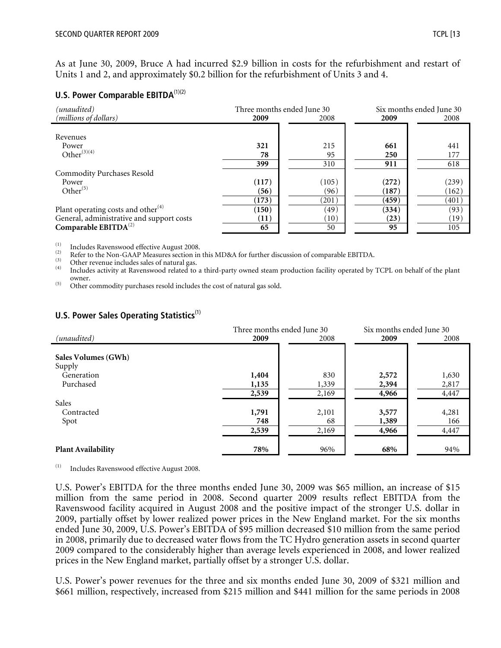As at June 30, 2009, Bruce A had incurred \$2.9 billion in costs for the refurbishment and restart of Units 1 and 2, and approximately \$0.2 billion for the refurbishment of Units 3 and 4.

#### **U.S. Power Comparable EBITDA**<sup>(1)(2)</sup>

| (unaudited)                               |       | Three months ended June 30 | Six months ended June 30 |       |  |
|-------------------------------------------|-------|----------------------------|--------------------------|-------|--|
| (millions of dollars)                     | 2009  | 2008                       | 2009                     | 2008  |  |
|                                           |       |                            |                          |       |  |
| Revenues                                  |       |                            |                          |       |  |
| Power                                     | 321   | 215                        | 661                      | 441   |  |
| Other $^{(3)(4)}$                         | 78    | 95                         | 250                      | 177   |  |
|                                           | 399   | 310                        | 911                      | 618   |  |
| <b>Commodity Purchases Resold</b>         |       |                            |                          |       |  |
| Power                                     | (117) | (105)                      | (272)                    | (239) |  |
| Other $^{(5)}$                            | (56)  | (96)                       | (187)                    | (162) |  |
|                                           | (173) | (201)                      | (459)                    | (401) |  |
| Plant operating costs and other $(4)$     | (150) | (49)                       | (334)                    | (93)  |  |
| General, administrative and support costs | (11)  | $\left(10\right)$          | (23)                     | (19)  |  |
| Comparable $EBITDA^{(2)}$                 | 65    | 50                         | 95                       | 105   |  |

The Surface Ravenswood effective August 2008.<br>
(2) Refer to the Non-GAAP Measures section in this MD&A for further discussion of comparable EBITDA.<br>
(3) Other revenue includes sales of natural gas.<br>
(4) Includes activity a owner. (5) Other commodity purchases resold includes the cost of natural gas sold.

|                                   | Three months ended June 30 | Six months ended June 30 |                         |                         |
|-----------------------------------|----------------------------|--------------------------|-------------------------|-------------------------|
| (unaudited)                       | 2009                       | 2008                     | 2009                    | 2008                    |
| Sales Volumes (GWh)               |                            |                          |                         |                         |
| Supply<br>Generation<br>Purchased | 1,404<br>1,135<br>2,539    | 830<br>1,339<br>2,169    | 2,572<br>2,394<br>4,966 | 1,630<br>2,817<br>4,447 |
| Sales<br>Contracted<br>Spot       | 1,791<br>748<br>2,539      | 2,101<br>68<br>2,169     | 3,577<br>1,389<br>4,966 | 4,281<br>166<br>4,447   |
| <b>Plant Availability</b>         | 78%                        | 96%                      | 68%                     | 94%                     |

#### **U.S. Power Sales Operating Statistics**<sup>(1)</sup>

(1) Includes Ravenswood effective August 2008.

U.S. Power's EBITDA for the three months ended June 30, 2009 was \$65 million, an increase of \$15 million from the same period in 2008. Second quarter 2009 results reflect EBITDA from the Ravenswood facility acquired in August 2008 and the positive impact of the stronger U.S. dollar in 2009, partially offset by lower realized power prices in the New England market. For the six months ended June 30, 2009, U.S. Power's EBITDA of \$95 million decreased \$10 million from the same period in 2008, primarily due to decreased water flows from the TC Hydro generation assets in second quarter 2009 compared to the considerably higher than average levels experienced in 2008, and lower realized prices in the New England market, partially offset by a stronger U.S. dollar.

U.S. Power's power revenues for the three and six months ended June 30, 2009 of \$321 million and \$661 million, respectively, increased from \$215 million and \$441 million for the same periods in 2008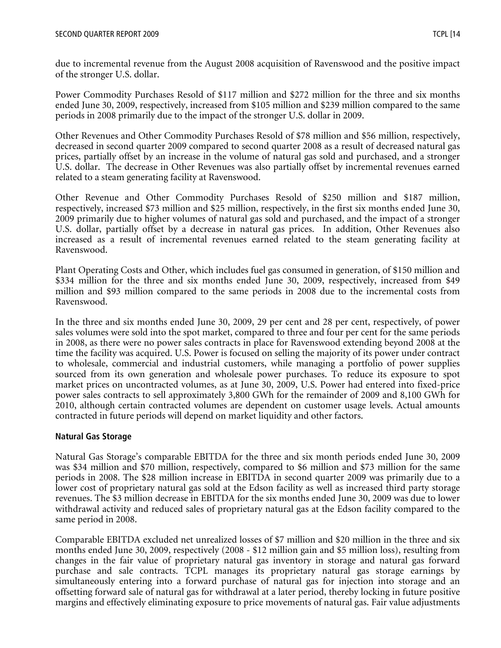due to incremental revenue from the August 2008 acquisition of Ravenswood and the positive impact of the stronger U.S. dollar.

Power Commodity Purchases Resold of \$117 million and \$272 million for the three and six months ended June 30, 2009, respectively, increased from \$105 million and \$239 million compared to the same periods in 2008 primarily due to the impact of the stronger U.S. dollar in 2009.

Other Revenues and Other Commodity Purchases Resold of \$78 million and \$56 million, respectively, decreased in second quarter 2009 compared to second quarter 2008 as a result of decreased natural gas prices, partially offset by an increase in the volume of natural gas sold and purchased, and a stronger U.S. dollar. The decrease in Other Revenues was also partially offset by incremental revenues earned related to a steam generating facility at Ravenswood.

Other Revenue and Other Commodity Purchases Resold of \$250 million and \$187 million, respectively, increased \$73 million and \$25 million, respectively, in the first six months ended June 30, 2009 primarily due to higher volumes of natural gas sold and purchased, and the impact of a stronger U.S. dollar, partially offset by a decrease in natural gas prices. In addition, Other Revenues also increased as a result of incremental revenues earned related to the steam generating facility at Ravenswood.

Plant Operating Costs and Other, which includes fuel gas consumed in generation, of \$150 million and \$334 million for the three and six months ended June 30, 2009, respectively, increased from \$49 million and \$93 million compared to the same periods in 2008 due to the incremental costs from Ravenswood.

In the three and six months ended June 30, 2009, 29 per cent and 28 per cent, respectively, of power sales volumes were sold into the spot market, compared to three and four per cent for the same periods in 2008, as there were no power sales contracts in place for Ravenswood extending beyond 2008 at the time the facility was acquired. U.S. Power is focused on selling the majority of its power under contract to wholesale, commercial and industrial customers, while managing a portfolio of power supplies sourced from its own generation and wholesale power purchases. To reduce its exposure to spot market prices on uncontracted volumes, as at June 30, 2009, U.S. Power had entered into fixed-price power sales contracts to sell approximately 3,800 GWh for the remainder of 2009 and 8,100 GWh for 2010, although certain contracted volumes are dependent on customer usage levels. Actual amounts contracted in future periods will depend on market liquidity and other factors.

## **Natural Gas Storage**

Natural Gas Storage's comparable EBITDA for the three and six month periods ended June 30, 2009 was \$34 million and \$70 million, respectively, compared to \$6 million and \$73 million for the same periods in 2008. The \$28 million increase in EBITDA in second quarter 2009 was primarily due to a lower cost of proprietary natural gas sold at the Edson facility as well as increased third party storage revenues. The \$3 million decrease in EBITDA for the six months ended June 30, 2009 was due to lower withdrawal activity and reduced sales of proprietary natural gas at the Edson facility compared to the same period in 2008.

Comparable EBITDA excluded net unrealized losses of \$7 million and \$20 million in the three and six months ended June 30, 2009, respectively (2008 - \$12 million gain and \$5 million loss), resulting from changes in the fair value of proprietary natural gas inventory in storage and natural gas forward purchase and sale contracts. TCPL manages its proprietary natural gas storage earnings by simultaneously entering into a forward purchase of natural gas for injection into storage and an offsetting forward sale of natural gas for withdrawal at a later period, thereby locking in future positive margins and effectively eliminating exposure to price movements of natural gas. Fair value adjustments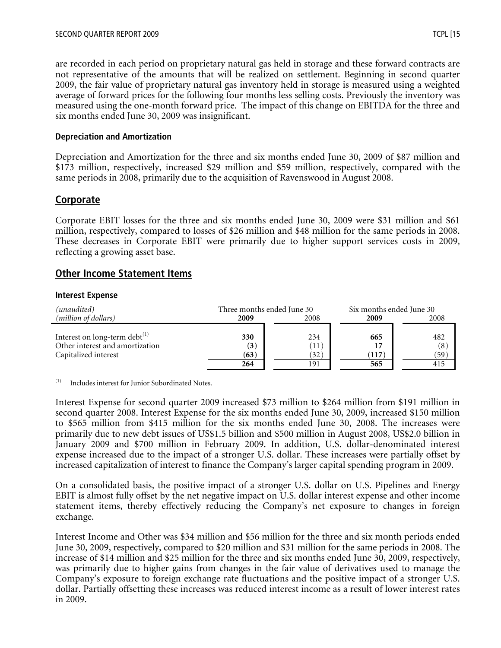are recorded in each period on proprietary natural gas held in storage and these forward contracts are not representative of the amounts that will be realized on settlement. Beginning in second quarter 2009, the fair value of proprietary natural gas inventory held in storage is measured using a weighted average of forward prices for the following four months less selling costs. Previously the inventory was measured using the one-month forward price. The impact of this change on EBITDA for the three and six months ended June 30, 2009 was insignificant.

#### **Depreciation and Amortization**

Depreciation and Amortization for the three and six months ended June 30, 2009 of \$87 million and \$173 million, respectively, increased \$29 million and \$59 million, respectively, compared with the same periods in 2008, primarily due to the acquisition of Ravenswood in August 2008.

# **Corporate**

Corporate EBIT losses for the three and six months ended June 30, 2009 were \$31 million and \$61 million, respectively, compared to losses of \$26 million and \$48 million for the same periods in 2008. These decreases in Corporate EBIT were primarily due to higher support services costs in 2009, reflecting a growing asset base.

# **Other Income Statement Items**

#### **Interest Expense**

| (unaudited)                                                                                    | Three months ended June 30 |                            | Six months ended June 30  |                    |
|------------------------------------------------------------------------------------------------|----------------------------|----------------------------|---------------------------|--------------------|
| ( <i>million of dollars</i> )                                                                  | 2008<br>2009               |                            | 2009                      | 2008               |
| Interest on long-term debt $^{(1)}$<br>Other interest and amortization<br>Capitalized interest | 330<br>(3)<br>(63)<br>264  | 234<br>(11)<br>(32)<br>191 | 665<br>17<br>(117)<br>565 | 482<br>(8)<br>(59) |

(1) Includes interest for Junior Subordinated Notes.

Interest Expense for second quarter 2009 increased \$73 million to \$264 million from \$191 million in second quarter 2008. Interest Expense for the six months ended June 30, 2009, increased \$150 million to \$565 million from \$415 million for the six months ended June 30, 2008. The increases were primarily due to new debt issues of US\$1.5 billion and \$500 million in August 2008, US\$2.0 billion in January 2009 and \$700 million in February 2009. In addition, U.S. dollar-denominated interest expense increased due to the impact of a stronger U.S. dollar. These increases were partially offset by increased capitalization of interest to finance the Company's larger capital spending program in 2009.

On a consolidated basis, the positive impact of a stronger U.S. dollar on U.S. Pipelines and Energy EBIT is almost fully offset by the net negative impact on U.S. dollar interest expense and other income statement items, thereby effectively reducing the Company's net exposure to changes in foreign exchange.

Interest Income and Other was \$34 million and \$56 million for the three and six month periods ended June 30, 2009, respectively, compared to \$20 million and \$31 million for the same periods in 2008. The increase of \$14 million and \$25 million for the three and six months ended June 30, 2009, respectively, was primarily due to higher gains from changes in the fair value of derivatives used to manage the Company's exposure to foreign exchange rate fluctuations and the positive impact of a stronger U.S. dollar. Partially offsetting these increases was reduced interest income as a result of lower interest rates in 2009.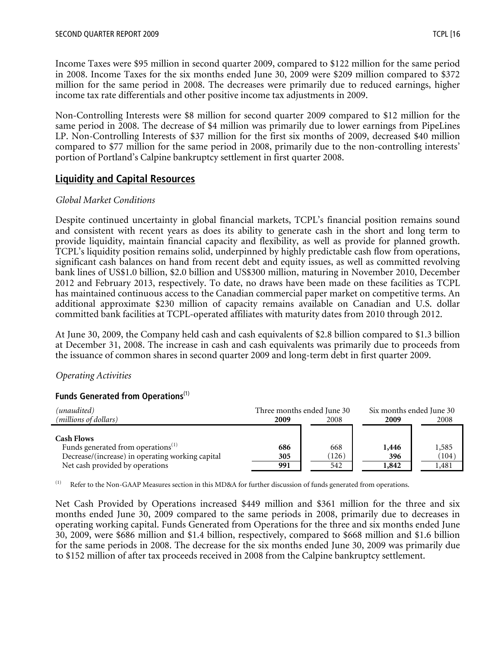Income Taxes were \$95 million in second quarter 2009, compared to \$122 million for the same period in 2008. Income Taxes for the six months ended June 30, 2009 were \$209 million compared to \$372 million for the same period in 2008. The decreases were primarily due to reduced earnings, higher income tax rate differentials and other positive income tax adjustments in 2009.

Non-Controlling Interests were \$8 million for second quarter 2009 compared to \$12 million for the same period in 2008. The decrease of \$4 million was primarily due to lower earnings from PipeLines LP. Non-Controlling Interests of \$37 million for the first six months of 2009, decreased \$40 million compared to \$77 million for the same period in 2008, primarily due to the non-controlling interests' portion of Portland's Calpine bankruptcy settlement in first quarter 2008.

# **Liquidity and Capital Resources**

#### *Global Market Conditions*

Despite continued uncertainty in global financial markets, TCPL's financial position remains sound and consistent with recent years as does its ability to generate cash in the short and long term to provide liquidity, maintain financial capacity and flexibility, as well as provide for planned growth. TCPL's liquidity position remains solid, underpinned by highly predictable cash flow from operations, significant cash balances on hand from recent debt and equity issues, as well as committed revolving bank lines of US\$1.0 billion, \$2.0 billion and US\$300 million, maturing in November 2010, December 2012 and February 2013, respectively. To date, no draws have been made on these facilities as TCPL has maintained continuous access to the Canadian commercial paper market on competitive terms. An additional approximate \$230 million of capacity remains available on Canadian and U.S. dollar committed bank facilities at TCPL-operated affiliates with maturity dates from 2010 through 2012.

At June 30, 2009, the Company held cash and cash equivalents of \$2.8 billion compared to \$1.3 billion at December 31, 2008. The increase in cash and cash equivalents was primarily due to proceeds from the issuance of common shares in second quarter 2009 and long-term debt in first quarter 2009.

## *Operating Activities*

#### **Funds Generated from Operations**(1)

| (unaudited)<br>( <i>millions of dollars</i> )                                                                                                              | Three months ended June 30<br>2009 | 2008                | Six months ended June 30<br>2009 | 2008                    |
|------------------------------------------------------------------------------------------------------------------------------------------------------------|------------------------------------|---------------------|----------------------------------|-------------------------|
| <b>Cash Flows</b><br>Funds generated from operations <sup>(1)</sup><br>Decrease/(increase) in operating working capital<br>Net cash provided by operations | 686<br>305<br>991                  | 668<br>(126)<br>542 | 1,446<br>396<br>1,842            | 1,585<br>(104)<br>1,481 |

(1) Refer to the Non-GAAP Measures section in this MD&A for further discussion of funds generated from operations.

Net Cash Provided by Operations increased \$449 million and \$361 million for the three and six months ended June 30, 2009 compared to the same periods in 2008, primarily due to decreases in operating working capital. Funds Generated from Operations for the three and six months ended June 30, 2009, were \$686 million and \$1.4 billion, respectively, compared to \$668 million and \$1.6 billion for the same periods in 2008. The decrease for the six months ended June 30, 2009 was primarily due to \$152 million of after tax proceeds received in 2008 from the Calpine bankruptcy settlement.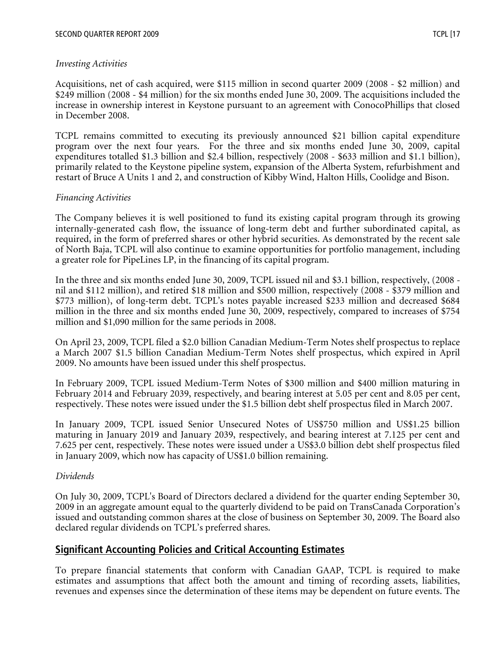Acquisitions, net of cash acquired, were \$115 million in second quarter 2009 (2008 - \$2 million) and \$249 million (2008 - \$4 million) for the six months ended June 30, 2009. The acquisitions included the increase in ownership interest in Keystone pursuant to an agreement with ConocoPhillips that closed in December 2008.

TCPL remains committed to executing its previously announced \$21 billion capital expenditure program over the next four years. For the three and six months ended June 30, 2009, capital expenditures totalled \$1.3 billion and \$2.4 billion, respectively (2008 - \$633 million and \$1.1 billion), primarily related to the Keystone pipeline system, expansion of the Alberta System, refurbishment and restart of Bruce A Units 1 and 2, and construction of Kibby Wind, Halton Hills, Coolidge and Bison.

#### *Financing Activities*

The Company believes it is well positioned to fund its existing capital program through its growing internally-generated cash flow, the issuance of long-term debt and further subordinated capital, as required, in the form of preferred shares or other hybrid securities. As demonstrated by the recent sale of North Baja, TCPL will also continue to examine opportunities for portfolio management, including a greater role for PipeLines LP, in the financing of its capital program.

In the three and six months ended June 30, 2009, TCPL issued nil and \$3.1 billion, respectively, (2008 nil and \$112 million), and retired \$18 million and \$500 million, respectively (2008 - \$379 million and \$773 million), of long-term debt. TCPL's notes payable increased \$233 million and decreased \$684 million in the three and six months ended June 30, 2009, respectively, compared to increases of \$754 million and \$1,090 million for the same periods in 2008.

On April 23, 2009, TCPL filed a \$2.0 billion Canadian Medium-Term Notes shelf prospectus to replace a March 2007 \$1.5 billion Canadian Medium-Term Notes shelf prospectus, which expired in April 2009. No amounts have been issued under this shelf prospectus.

In February 2009, TCPL issued Medium-Term Notes of \$300 million and \$400 million maturing in February 2014 and February 2039, respectively, and bearing interest at 5.05 per cent and 8.05 per cent, respectively. These notes were issued under the \$1.5 billion debt shelf prospectus filed in March 2007.

In January 2009, TCPL issued Senior Unsecured Notes of US\$750 million and US\$1.25 billion maturing in January 2019 and January 2039, respectively, and bearing interest at 7.125 per cent and 7.625 per cent, respectively. These notes were issued under a US\$3.0 billion debt shelf prospectus filed in January 2009, which now has capacity of US\$1.0 billion remaining.

#### *Dividends*

On July 30, 2009, TCPL's Board of Directors declared a dividend for the quarter ending September 30, 2009 in an aggregate amount equal to the quarterly dividend to be paid on TransCanada Corporation's issued and outstanding common shares at the close of business on September 30, 2009. The Board also declared regular dividends on TCPL's preferred shares.

# **Significant Accounting Policies and Critical Accounting Estimates**

To prepare financial statements that conform with Canadian GAAP, TCPL is required to make estimates and assumptions that affect both the amount and timing of recording assets, liabilities, revenues and expenses since the determination of these items may be dependent on future events. The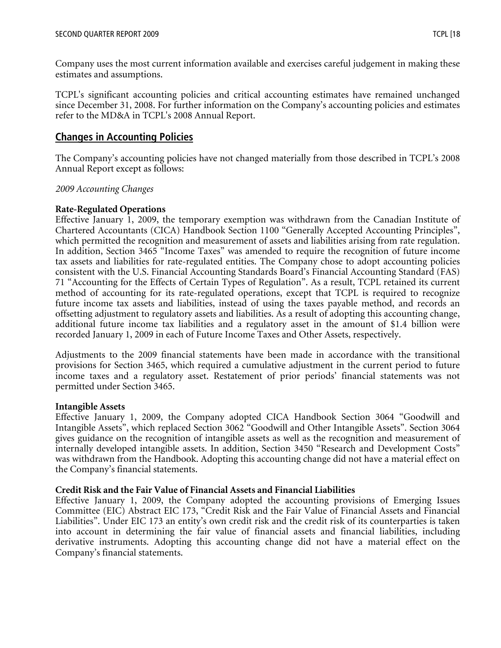Company uses the most current information available and exercises careful judgement in making these estimates and assumptions.

TCPL's significant accounting policies and critical accounting estimates have remained unchanged since December 31, 2008. For further information on the Company's accounting policies and estimates refer to the MD&A in TCPL's 2008 Annual Report.

# **Changes in Accounting Policies**

The Company's accounting policies have not changed materially from those described in TCPL's 2008 Annual Report except as follows:

## *2009 Accounting Changes*

# **Rate-Regulated Operations**

Effective January 1, 2009, the temporary exemption was withdrawn from the Canadian Institute of Chartered Accountants (CICA) Handbook Section 1100 "Generally Accepted Accounting Principles", which permitted the recognition and measurement of assets and liabilities arising from rate regulation. In addition, Section 3465 "Income Taxes" was amended to require the recognition of future income tax assets and liabilities for rate-regulated entities. The Company chose to adopt accounting policies consistent with the U.S. Financial Accounting Standards Board's Financial Accounting Standard (FAS) 71 "Accounting for the Effects of Certain Types of Regulation". As a result, TCPL retained its current method of accounting for its rate-regulated operations, except that TCPL is required to recognize future income tax assets and liabilities, instead of using the taxes payable method, and records an offsetting adjustment to regulatory assets and liabilities. As a result of adopting this accounting change, additional future income tax liabilities and a regulatory asset in the amount of \$1.4 billion were recorded January 1, 2009 in each of Future Income Taxes and Other Assets, respectively.

Adjustments to the 2009 financial statements have been made in accordance with the transitional provisions for Section 3465, which required a cumulative adjustment in the current period to future income taxes and a regulatory asset. Restatement of prior periods' financial statements was not permitted under Section 3465.

## **Intangible Assets**

Effective January 1, 2009, the Company adopted CICA Handbook Section 3064 "Goodwill and Intangible Assets", which replaced Section 3062 "Goodwill and Other Intangible Assets". Section 3064 gives guidance on the recognition of intangible assets as well as the recognition and measurement of internally developed intangible assets. In addition, Section 3450 "Research and Development Costs" was withdrawn from the Handbook. Adopting this accounting change did not have a material effect on the Company's financial statements.

## **Credit Risk and the Fair Value of Financial Assets and Financial Liabilities**

Effective January 1, 2009, the Company adopted the accounting provisions of Emerging Issues Committee (EIC) Abstract EIC 173, "Credit Risk and the Fair Value of Financial Assets and Financial Liabilities". Under EIC 173 an entity's own credit risk and the credit risk of its counterparties is taken into account in determining the fair value of financial assets and financial liabilities, including derivative instruments. Adopting this accounting change did not have a material effect on the Company's financial statements.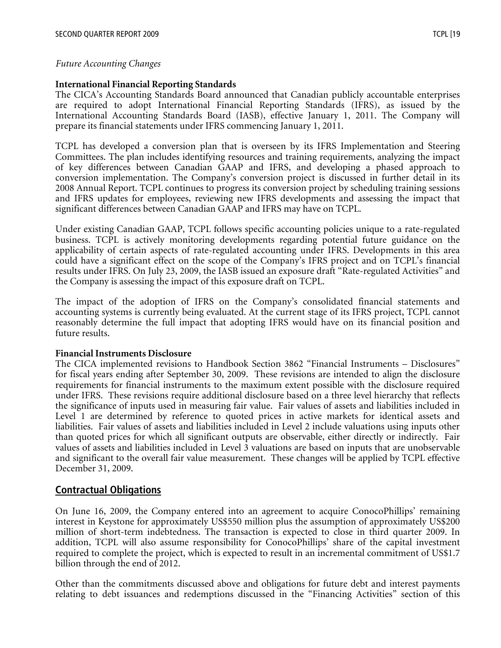#### *Future Accounting Changes*

#### **International Financial Reporting Standards**

The CICA's Accounting Standards Board announced that Canadian publicly accountable enterprises are required to adopt International Financial Reporting Standards (IFRS), as issued by the International Accounting Standards Board (IASB), effective January 1, 2011. The Company will prepare its financial statements under IFRS commencing January 1, 2011.

TCPL has developed a conversion plan that is overseen by its IFRS Implementation and Steering Committees. The plan includes identifying resources and training requirements, analyzing the impact of key differences between Canadian GAAP and IFRS, and developing a phased approach to conversion implementation. The Company's conversion project is discussed in further detail in its 2008 Annual Report. TCPL continues to progress its conversion project by scheduling training sessions and IFRS updates for employees, reviewing new IFRS developments and assessing the impact that significant differences between Canadian GAAP and IFRS may have on TCPL.

Under existing Canadian GAAP, TCPL follows specific accounting policies unique to a rate-regulated business. TCPL is actively monitoring developments regarding potential future guidance on the applicability of certain aspects of rate-regulated accounting under IFRS. Developments in this area could have a significant effect on the scope of the Company's IFRS project and on TCPL's financial results under IFRS. On July 23, 2009, the IASB issued an exposure draft "Rate-regulated Activities" and the Company is assessing the impact of this exposure draft on TCPL.

The impact of the adoption of IFRS on the Company's consolidated financial statements and accounting systems is currently being evaluated. At the current stage of its IFRS project, TCPL cannot reasonably determine the full impact that adopting IFRS would have on its financial position and future results.

#### **Financial Instruments Disclosure**

The CICA implemented revisions to Handbook Section 3862 "Financial Instruments – Disclosures" for fiscal years ending after September 30, 2009. These revisions are intended to align the disclosure requirements for financial instruments to the maximum extent possible with the disclosure required under IFRS. These revisions require additional disclosure based on a three level hierarchy that reflects the significance of inputs used in measuring fair value. Fair values of assets and liabilities included in Level 1 are determined by reference to quoted prices in active markets for identical assets and liabilities. Fair values of assets and liabilities included in Level 2 include valuations using inputs other than quoted prices for which all significant outputs are observable, either directly or indirectly. Fair values of assets and liabilities included in Level 3 valuations are based on inputs that are unobservable and significant to the overall fair value measurement. These changes will be applied by TCPL effective December 31, 2009.

## **Contractual Obligations**

On June 16, 2009, the Company entered into an agreement to acquire ConocoPhillips' remaining interest in Keystone for approximately US\$550 million plus the assumption of approximately US\$200 million of short-term indebtedness. The transaction is expected to close in third quarter 2009. In addition, TCPL will also assume responsibility for ConocoPhillips' share of the capital investment required to complete the project, which is expected to result in an incremental commitment of US\$1.7 billion through the end of 2012.

Other than the commitments discussed above and obligations for future debt and interest payments relating to debt issuances and redemptions discussed in the "Financing Activities" section of this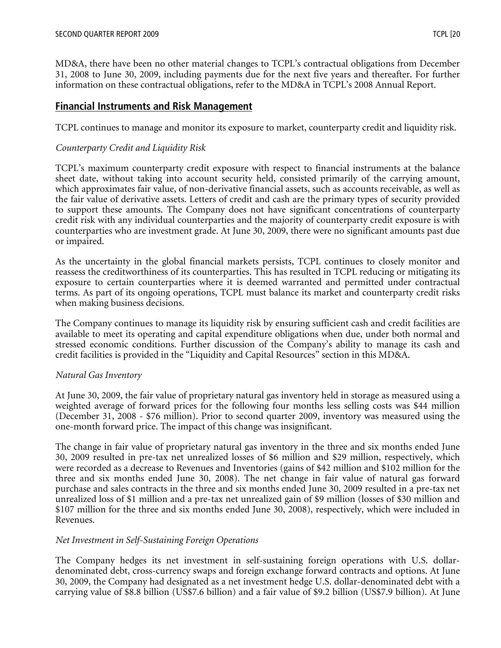MD&A, there have been no other material changes to TCPL's contractual obligations from December 31, 2008 to June 30, 2009, including payments due for the next five years and thereafter. For further information on these contractual obligations, refer to the MD&A in TCPL's 2008 Annual Report.

# **Financial Instruments and Risk Management**

TCPL continues to manage and monitor its exposure to market, counterparty credit and liquidity risk.

## *Counterparty Credit and Liquidity Risk*

TCPL's maximum counterparty credit exposure with respect to financial instruments at the balance sheet date, without taking into account security held, consisted primarily of the carrying amount, which approximates fair value, of non-derivative financial assets, such as accounts receivable, as well as the fair value of derivative assets. Letters of credit and cash are the primary types of security provided to support these amounts. The Company does not have significant concentrations of counterparty credit risk with any individual counterparties and the majority of counterparty credit exposure is with counterparties who are investment grade. At June 30, 2009, there were no significant amounts past due or impaired.

As the uncertainty in the global financial markets persists, TCPL continues to closely monitor and reassess the creditworthiness of its counterparties. This has resulted in TCPL reducing or mitigating its exposure to certain counterparties where it is deemed warranted and permitted under contractual terms. As part of its ongoing operations, TCPL must balance its market and counterparty credit risks when making business decisions.

The Company continues to manage its liquidity risk by ensuring sufficient cash and credit facilities are available to meet its operating and capital expenditure obligations when due, under both normal and stressed economic conditions. Further discussion of the Company's ability to manage its cash and credit facilities is provided in the "Liquidity and Capital Resources" section in this MD&A.

## *Natural Gas Inventory*

At June 30, 2009, the fair value of proprietary natural gas inventory held in storage as measured using a weighted average of forward prices for the following four months less selling costs was \$44 million (December 31, 2008 - \$76 million). Prior to second quarter 2009, inventory was measured using the one-month forward price. The impact of this change was insignificant.

The change in fair value of proprietary natural gas inventory in the three and six months ended June 30, 2009 resulted in pre-tax net unrealized losses of \$6 million and \$29 million, respectively, which were recorded as a decrease to Revenues and Inventories (gains of \$42 million and \$102 million for the three and six months ended June 30, 2008). The net change in fair value of natural gas forward purchase and sales contracts in the three and six months ended June 30, 2009 resulted in a pre-tax net unrealized loss of \$1 million and a pre-tax net unrealized gain of \$9 million (losses of \$30 million and \$107 million for the three and six months ended June 30, 2008), respectively, which were included in Revenues.

## *Net Investment in Self-Sustaining Foreign Operations*

The Company hedges its net investment in self-sustaining foreign operations with U.S. dollardenominated debt, cross-currency swaps and foreign exchange forward contracts and options. At June 30, 2009, the Company had designated as a net investment hedge U.S. dollar-denominated debt with a carrying value of \$8.8 billion (US\$7.6 billion) and a fair value of \$9.2 billion (US\$7.9 billion). At June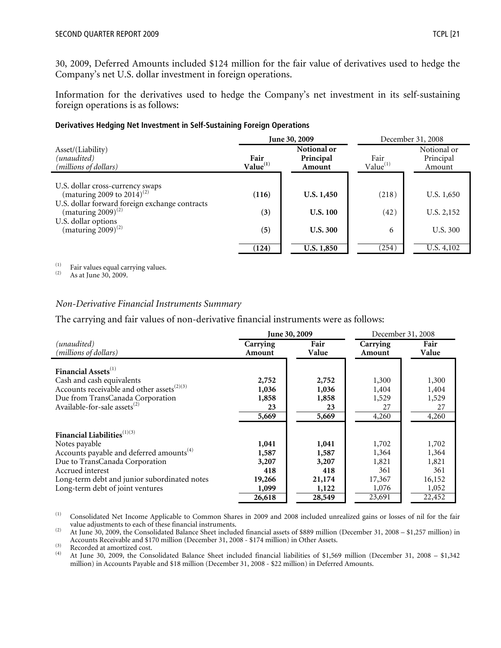30, 2009, Deferred Amounts included \$124 million for the fair value of derivatives used to hedge the Company's net U.S. dollar investment in foreign operations.

Information for the derivatives used to hedge the Company's net investment in its self-sustaining foreign operations is as follows:

#### **Derivatives Hedging Net Investment in Self-Sustaining Foreign Operations**

|                                                                                                  |                              | June 30, 2009                      | December 31, 2008     |                                    |  |
|--------------------------------------------------------------------------------------------------|------------------------------|------------------------------------|-----------------------|------------------------------------|--|
| Asset/(Liability)<br>(unaudited)<br>(millions of dollars)                                        | Fair<br>Value <sup>(1)</sup> | Notional or<br>Principal<br>Amount | Fair<br>$Value^{(1)}$ | Notional or<br>Principal<br>Amount |  |
| U.S. dollar cross-currency swaps                                                                 |                              |                                    |                       |                                    |  |
| (maturing 2009 to 2014) <sup>(2)</sup>                                                           | (116)                        | U.S. 1,450                         | (218)                 | U.S. 1,650                         |  |
| U.S. dollar forward foreign exchange contracts<br>(maturing $2009)^{(2)}$<br>U.S. dollar options | (3)                          | <b>U.S. 100</b>                    | (42)                  | U.S. 2,152                         |  |
| (maturing $2009$ ) <sup>(2)</sup>                                                                | (5)                          | <b>U.S. 300</b>                    | 6                     | U.S. 300                           |  |
|                                                                                                  | (124)                        | U.S. 1,850                         | (254)                 | U.S. 4,102                         |  |

(1) Fair values equal carrying values.<br>
As at June 30, 2009.

#### *Non-Derivative Financial Instruments Summary*

The carrying and fair values of non-derivative financial instruments were as follows:

|                                                        |          | June 30, 2009 | December 31, 2008 |        |  |
|--------------------------------------------------------|----------|---------------|-------------------|--------|--|
| (unaudited)                                            | Carrying | Fair          | Carrying          | Fair   |  |
| (millions of dollars)                                  | Amount   | Value         | Amount            | Value  |  |
| Financial Assets <sup>(1)</sup>                        |          |               |                   |        |  |
| Cash and cash equivalents                              | 2,752    | 2,752         | 1,300             | 1,300  |  |
| Accounts receivable and other assets <sup>(2)(3)</sup> | 1,036    | 1,036         | 1,404             | 1,404  |  |
| Due from TransCanada Corporation                       | 1,858    | 1,858         | 1,529             | 1,529  |  |
| Available-for-sale assets <sup>(2)</sup>               | 23       | 23            | 27                | 27     |  |
|                                                        | 5,669    | 5,669         | 4,260             | 4,260  |  |
| Financial Liabilities <sup>(1)(3)</sup>                |          |               |                   |        |  |
| Notes payable                                          | 1,041    | 1,041         | 1,702             | 1,702  |  |
| Accounts payable and deferred amounts <sup>(4)</sup>   | 1,587    | 1,587         | 1,364             | 1,364  |  |
| Due to TransCanada Corporation                         | 3,207    | 3,207         | 1,821             | 1,821  |  |
| Accrued interest                                       | 418      | 418           | 361               | 361    |  |
| Long-term debt and junior subordinated notes           | 19,266   | 21,174        | 17,367            | 16,152 |  |
| Long-term debt of joint ventures                       | 1,099    | 1,122         | 1,076             | 1,052  |  |
|                                                        | 26,618   | 28,549        | 23,691            | 22,452 |  |

(1) Consolidated Net Income Applicable to Common Shares in 2009 and 2008 included unrealized gains or losses of nil for the fair value adjustments to each of these financial instruments.

(2) At June 30, 2009, the Consolidated Balance Sheet included financial assets of \$889 million (December 31, 2008 – \$1,257 million) in Accounts Receivable and \$170 million (December 31, 2008 - \$174 million) in Other Assets.<br>  $A + I_{11} = 30, 2009$ , the Consolidated Balance Sheet included financial liabilities of \$1.56

(4) At June 30, 2009, the Consolidated Balance Sheet included financial liabilities of \$1,569 million (December 31, 2008 – \$1,342 million) in Accounts Payable and \$18 million (December 31, 2008 - \$22 million) in Deferred Amounts.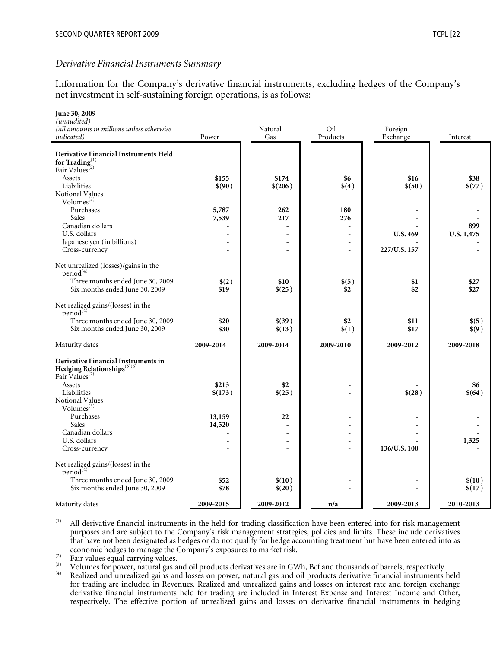#### *Derivative Financial Instruments Summary*

Information for the Company's derivative financial instruments, excluding hedges of the Company's net investment in self-sustaining foreign operations, is as follows:

| June 30, 2009                                                                                          |                          |                          |                          |                 |            |
|--------------------------------------------------------------------------------------------------------|--------------------------|--------------------------|--------------------------|-----------------|------------|
| (unaudited)<br>(all amounts in millions unless otherwise                                               |                          | Natural                  | Oil                      | Foreign         |            |
| <i>indicated</i> )                                                                                     | Power                    | Gas                      | Products                 | Exchange        | Interest   |
|                                                                                                        |                          |                          |                          |                 |            |
| <b>Derivative Financial Instruments Held</b>                                                           |                          |                          |                          |                 |            |
| for Trading $_{\infty}^{(1)}$<br>Fair Values <sup>(2)</sup>                                            |                          |                          |                          |                 |            |
| Assets                                                                                                 | \$155                    | \$174                    | \$6                      | \$16            | \$38       |
| Liabilities                                                                                            | \$(90)                   | \$(206)                  | \$(4)                    | \$(50)          | \$(77)     |
| <b>Notional Values</b>                                                                                 |                          |                          |                          |                 |            |
| Volumes <sup>(3)</sup>                                                                                 |                          |                          |                          |                 |            |
| Purchases<br>Sales                                                                                     | 5,787<br>7,539           | 262<br>217               | 180<br>276               |                 |            |
| Canadian dollars                                                                                       | Ĭ.                       | $\overline{a}$           | $\overline{a}$           |                 | 899        |
| U.S. dollars                                                                                           | $\overline{a}$           |                          | $\overline{a}$           | <b>U.S. 469</b> | U.S. 1,475 |
| Japanese yen (in billions)                                                                             | $\overline{a}$           |                          |                          |                 |            |
| Cross-currency                                                                                         | ÷                        | $\overline{\phantom{a}}$ |                          | 227/U.S. 157    |            |
| Net unrealized (losses)/gains in the                                                                   |                          |                          |                          |                 |            |
| period <sup>(4)</sup>                                                                                  |                          |                          |                          |                 |            |
| Three months ended June 30, 2009                                                                       | \$(2)                    | \$10                     | \$(5)                    | \$1             | \$27       |
| Six months ended June 30, 2009                                                                         | \$19                     | \$(25)                   | \$2                      | \$2             | \$27       |
| Net realized gains/(losses) in the<br>period <sup>(4)</sup>                                            |                          |                          |                          |                 |            |
| Three months ended June 30, 2009                                                                       | \$20                     | \$ (39)                  | \$2                      | \$11            | \$(5)      |
| Six months ended June 30, 2009                                                                         | \$30                     | \$(13)                   | \$(1)                    | \$17            | \$(9)      |
| Maturity dates                                                                                         | 2009-2014                | 2009-2014                | 2009-2010                | 2009-2012       | 2009-2018  |
| Derivative Financial Instruments in<br>Hedging Relationships $^{(5)(6)}$<br>Fair Values <sup>(2)</sup> |                          |                          |                          |                 |            |
| Assets                                                                                                 | \$213                    | \$2                      |                          |                 | \$6        |
| Liabilities                                                                                            | \$(173)                  | \$(25)                   |                          | \$(28)          | \$ (64)    |
| Notional Values                                                                                        |                          |                          |                          |                 |            |
| Volumes $^{(3)}$<br>Purchases                                                                          | 13,159                   | 22                       |                          |                 |            |
| Sales                                                                                                  | 14,520                   | $\overline{a}$           |                          |                 |            |
| Canadian dollars                                                                                       | $\overline{a}$           | $\blacksquare$           |                          |                 |            |
| U.S. dollars                                                                                           | $\overline{a}$           | $\blacksquare$           | $\overline{\phantom{a}}$ |                 | 1,325      |
| Cross-currency                                                                                         | $\overline{\phantom{a}}$ | $\overline{a}$           |                          | 136/U.S. 100    |            |
| Net realized gains/(losses) in the<br>period <sup>(4)</sup>                                            |                          |                          |                          |                 |            |
| Three months ended June 30, 2009                                                                       | \$52                     | \$(10)                   |                          |                 | \$(10)     |
| Six months ended June 30, 2009                                                                         | \$78                     | \$(20)                   |                          |                 | \$(17)     |
| Maturity dates                                                                                         | 2009-2015                | 2009-2012                | n/a                      | 2009-2013       | 2010-2013  |

(1) All derivative financial instruments in the held-for-trading classification have been entered into for risk management purposes and are subject to the Company's risk management strategies, policies and limits. These include derivatives that have not been designated as hedges or do not qualify for hedge accounting treatment but have been entered into as

<sup>(2)</sup> Fair values equal carrying values.<br>
<sup>(3)</sup> Volumes for power, natural gas and oil products derivatives are in GWh, Bcf and thousands of barrels, respectively.<br>
<sup>(4)</sup> Realized and unrealized gains and losses on power, for trading are included in Revenues. Realized and unrealized gains and losses on interest rate and foreign exchange derivative financial instruments held for trading are included in Interest Expense and Interest Income and Other, respectively. The effective portion of unrealized gains and losses on derivative financial instruments in hedging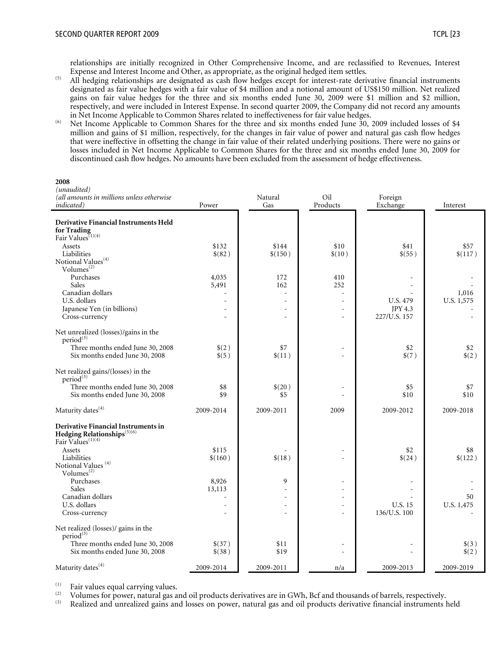relationships are initially recognized in Other Comprehensive Income, and are reclassified to Revenues, Interest

- $\overline{F}$  All hedging relationships are designated as cash flow hedges except for interest-rate derivative financial instruments designated as fair value hedges with a fair value of \$4 million and a notional amount of US\$150 million. Net realized gains on fair value hedges for the three and six months ended June 30, 2009 were \$1 million and \$2 million, respectively, and were included in Interest Expense. In second quarter 2009, the Company did not record any amounts in Net Income Applicable to Common Shares related to ineffectiveness for fair value hedges.
- $\frac{1}{100}$  Net Income Applicable to Common Shares for the three and six months ended June 30, 2009 included losses of \$4 million and gains of \$1 million, respectively, for the changes in fair value of power and natural gas cash flow hedges that were ineffective in offsetting the change in fair value of their related underlying positions. There were no gains or losses included in Net Income Applicable to Common Shares for the three and six months ended June 30, 2009 for discontinued cash flow hedges. No amounts have been excluded from the assessment of hedge effectiveness.

| (unaudited)<br>(all amounts in millions unless otherwise                                                                            |                      | Natural                | Oil                    | Foreign                        |                     |
|-------------------------------------------------------------------------------------------------------------------------------------|----------------------|------------------------|------------------------|--------------------------------|---------------------|
| <i>indicated</i> )                                                                                                                  | Power                | Gas                    | Products               | Exchange                       | Interest            |
| <b>Derivative Financial Instruments Held</b><br>for Trading<br>Fair Values <sup>(1)(4)</sup>                                        |                      |                        |                        |                                |                     |
| Assets<br>Liabilities<br>Notional Values <sup>(4)</sup><br>Volumes <sup>(2)</sup>                                                   | \$132<br>\$(82)      | \$144<br>\$(150)       | \$10<br>\$(10)         | \$41<br>\$(55)                 | \$57<br>\$(117)     |
| Purchases<br>Sales<br>Canadian dollars<br>U.S. dollars                                                                              | 4,035<br>5,491<br>L. | 172<br>162<br>$\equiv$ | 410<br>252<br>$\equiv$ | <b>U.S. 479</b>                | 1,016<br>U.S. 1,575 |
| Japanese Yen (in billions)<br>Cross-currency                                                                                        | $\overline{a}$       | L.                     | $\overline{a}$<br>÷,   | <b>JPY 4.3</b><br>227/U.S. 157 |                     |
| Net unrealized (losses)/gains in the<br>period <sup>(3)</sup><br>Three months ended June 30, 2008<br>Six months ended June 30, 2008 | \$(2)<br>\$(5)       | \$7<br>\$(11)          |                        | \$2<br>\$(7)                   | \$2<br>$(2)$        |
| Net realized gains/(losses) in the<br>period <sup>(3)</sup><br>Three months ended June 30, 2008<br>Six months ended June 30, 2008   | \$8<br>\$9           | \$(20)<br>\$5          | ۳                      | \$5<br>\$10                    | \$7<br>\$10         |
| Maturity dates <sup>(4)</sup>                                                                                                       | 2009-2014            | 2009-2011              | 2009                   | 2009-2012                      | 2009-2018           |
| Derivative Financial Instruments in<br>Hedging Relationships $(5)(6)$<br>Fair Values <sup>(1)(4)</sup>                              |                      |                        |                        |                                |                     |
| Assets<br>Liabilities<br>Notional Values <sup>(4)</sup><br>Volumes <sup>(2)</sup>                                                   | \$115<br>\$(160)     | \$(18)                 |                        | \$2<br>\$(24)                  | \$8<br>\$(122)      |
| Purchases<br>Sales<br>Canadian dollars                                                                                              | 8,926<br>13,113      | 9                      |                        |                                | 50                  |
| U.S. dollars<br>Cross-currency                                                                                                      |                      |                        | $\sim$<br>÷,           | U.S. 15<br>136/U.S. 100        | U.S. 1,475          |
| Net realized (losses)/ gains in the<br>period <sup>(3)</sup>                                                                        |                      |                        |                        |                                |                     |
| Three months ended June 30, 2008<br>Six months ended June 30, 2008                                                                  | \$(37)<br>\$(38)     | \$11<br>\$19           |                        |                                | $\$(3)$<br>\$(2)    |
| Maturity dates <sup>(4)</sup>                                                                                                       | 2009-2014            | 2009-2011              | n/a                    | 2009-2013                      | 2009-2019           |

Fair values equal carrying values.<br>
<sup>(2)</sup> Volumes for power, natural gas and oil products derivatives are in GWh, Bcf and thousands of barrels, respectively.<br>
(3) Realized and unrealized gains and losses on power, natural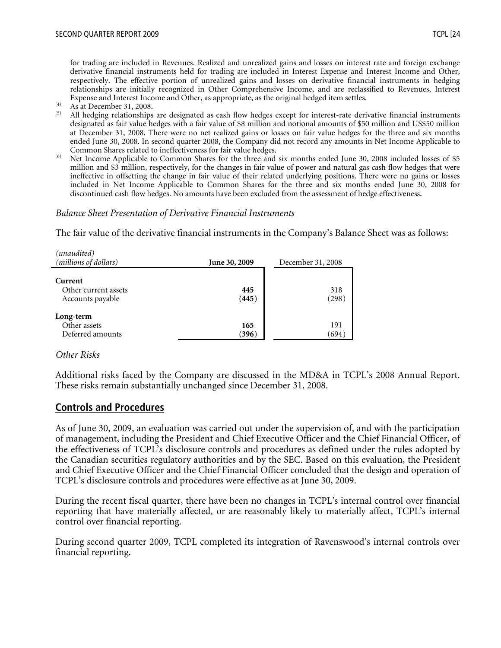for trading are included in Revenues. Realized and unrealized gains and losses on interest rate and foreign exchange derivative financial instruments held for trading are included in Interest Expense and Interest Income and Other, respectively. The effective portion of unrealized gains and losses on derivative financial instruments in hedging relationships are initially recognized in Other Comprehensive Income, and are reclassified to Revenues, Interest Expense and Interest Income and Other, as appropriate, as the original hedged item settles.<br>
As at December 31, 2008.<br>
All hedging relationships are designated as such flave hedges away for interest rate day.

- 
- (5) All hedging relationships are designated as cash flow hedges except for interest-rate derivative financial instruments designated as fair value hedges with a fair value of \$8 million and notional amounts of \$50 million and US\$50 million at December 31, 2008. There were no net realized gains or losses on fair value hedges for the three and six months ended June 30, 2008. In second quarter 2008, the Company did not record any amounts in Net Income Applicable to
- Common Shares related to ineffectiveness for fair value hedges.<br><sup>(6)</sup> Net Income Applicable to Common Shares for the three and six months ended June 30, 2008 included losses of \$5 million and \$3 million, respectively, for the changes in fair value of power and natural gas cash flow hedges that were ineffective in offsetting the change in fair value of their related underlying positions. There were no gains or losses included in Net Income Applicable to Common Shares for the three and six months ended June 30, 2008 for discontinued cash flow hedges. No amounts have been excluded from the assessment of hedge effectiveness.

#### *Balance Sheet Presentation of Derivative Financial Instruments*

The fair value of the derivative financial instruments in the Company's Balance Sheet was as follows:

| (unaudited)<br>(millions of dollars)                | <b>June 30, 2009</b> | December 31, 2008 |
|-----------------------------------------------------|----------------------|-------------------|
| Current<br>Other current assets<br>Accounts payable | 445<br>(445)         | 318<br>(298)      |
| Long-term<br>Other assets<br>Deferred amounts       | 165<br>(396)         | 191<br>(694)      |

#### *Other Risks*

Additional risks faced by the Company are discussed in the MD&A in TCPL's 2008 Annual Report. These risks remain substantially unchanged since December 31, 2008.

## **Controls and Procedures**

As of June 30, 2009, an evaluation was carried out under the supervision of, and with the participation of management, including the President and Chief Executive Officer and the Chief Financial Officer, of the effectiveness of TCPL's disclosure controls and procedures as defined under the rules adopted by the Canadian securities regulatory authorities and by the SEC. Based on this evaluation, the President and Chief Executive Officer and the Chief Financial Officer concluded that the design and operation of TCPL's disclosure controls and procedures were effective as at June 30, 2009.

During the recent fiscal quarter, there have been no changes in TCPL's internal control over financial reporting that have materially affected, or are reasonably likely to materially affect, TCPL's internal control over financial reporting.

During second quarter 2009, TCPL completed its integration of Ravenswood's internal controls over financial reporting.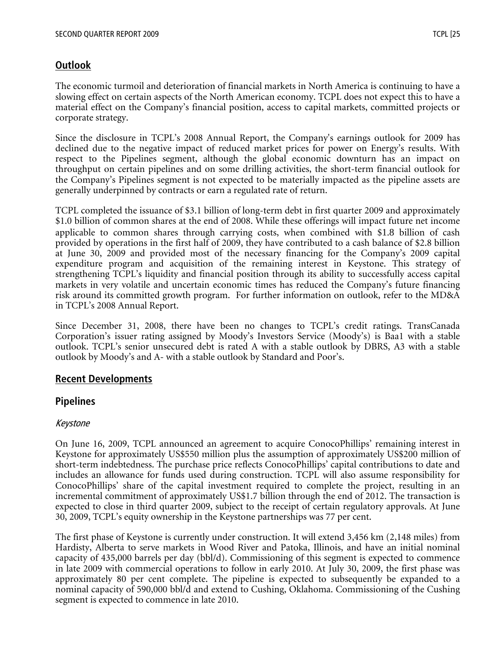# **Outlook**

The economic turmoil and deterioration of financial markets in North America is continuing to have a slowing effect on certain aspects of the North American economy. TCPL does not expect this to have a material effect on the Company's financial position, access to capital markets, committed projects or corporate strategy.

Since the disclosure in TCPL's 2008 Annual Report, the Company's earnings outlook for 2009 has declined due to the negative impact of reduced market prices for power on Energy's results. With respect to the Pipelines segment, although the global economic downturn has an impact on throughput on certain pipelines and on some drilling activities, the short-term financial outlook for the Company's Pipelines segment is not expected to be materially impacted as the pipeline assets are generally underpinned by contracts or earn a regulated rate of return.

TCPL completed the issuance of \$3.1 billion of long-term debt in first quarter 2009 and approximately \$1.0 billion of common shares at the end of 2008. While these offerings will impact future net income applicable to common shares through carrying costs, when combined with \$1.8 billion of cash provided by operations in the first half of 2009, they have contributed to a cash balance of \$2.8 billion at June 30, 2009 and provided most of the necessary financing for the Company's 2009 capital expenditure program and acquisition of the remaining interest in Keystone. This strategy of strengthening TCPL's liquidity and financial position through its ability to successfully access capital markets in very volatile and uncertain economic times has reduced the Company's future financing risk around its committed growth program. For further information on outlook, refer to the MD&A in TCPL's 2008 Annual Report.

Since December 31, 2008, there have been no changes to TCPL's credit ratings. TransCanada Corporation's issuer rating assigned by Moody's Investors Service (Moody's) is Baa1 with a stable outlook. TCPL's senior unsecured debt is rated A with a stable outlook by DBRS, A3 with a stable outlook by Moody's and A- with a stable outlook by Standard and Poor's.

# **Recent Developments**

# **Pipelines**

# Keystone

On June 16, 2009, TCPL announced an agreement to acquire ConocoPhillips' remaining interest in Keystone for approximately US\$550 million plus the assumption of approximately US\$200 million of short-term indebtedness. The purchase price reflects ConocoPhillips' capital contributions to date and includes an allowance for funds used during construction. TCPL will also assume responsibility for ConocoPhillips' share of the capital investment required to complete the project, resulting in an incremental commitment of approximately US\$1.7 billion through the end of 2012. The transaction is expected to close in third quarter 2009, subject to the receipt of certain regulatory approvals. At June 30, 2009, TCPL's equity ownership in the Keystone partnerships was 77 per cent.

The first phase of Keystone is currently under construction. It will extend 3,456 km (2,148 miles) from Hardisty, Alberta to serve markets in Wood River and Patoka, Illinois, and have an initial nominal capacity of 435,000 barrels per day (bbl/d). Commissioning of this segment is expected to commence in late 2009 with commercial operations to follow in early 2010. At July 30, 2009, the first phase was approximately 80 per cent complete. The pipeline is expected to subsequently be expanded to a nominal capacity of 590,000 bbl/d and extend to Cushing, Oklahoma. Commissioning of the Cushing segment is expected to commence in late 2010.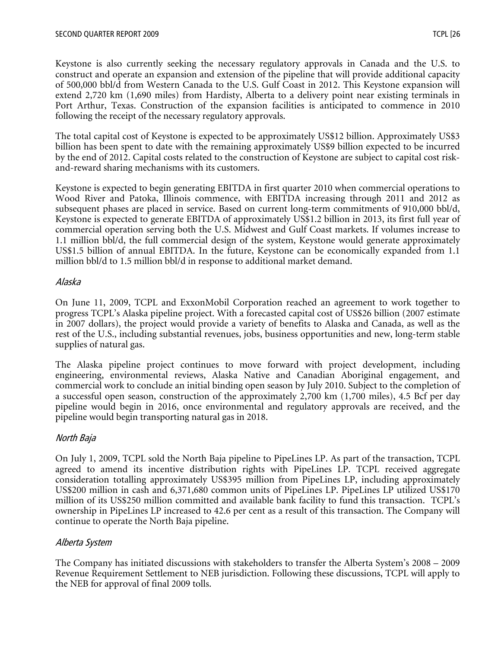Keystone is also currently seeking the necessary regulatory approvals in Canada and the U.S. to construct and operate an expansion and extension of the pipeline that will provide additional capacity of 500,000 bbl/d from Western Canada to the U.S. Gulf Coast in 2012. This Keystone expansion will extend 2,720 km (1,690 miles) from Hardisty, Alberta to a delivery point near existing terminals in Port Arthur, Texas. Construction of the expansion facilities is anticipated to commence in 2010 following the receipt of the necessary regulatory approvals.

The total capital cost of Keystone is expected to be approximately US\$12 billion. Approximately US\$3 billion has been spent to date with the remaining approximately US\$9 billion expected to be incurred by the end of 2012. Capital costs related to the construction of Keystone are subject to capital cost riskand-reward sharing mechanisms with its customers.

Keystone is expected to begin generating EBITDA in first quarter 2010 when commercial operations to Wood River and Patoka, Illinois commence, with EBITDA increasing through 2011 and 2012 as subsequent phases are placed in service. Based on current long-term commitments of 910,000 bbl/d, Keystone is expected to generate EBITDA of approximately US\$1.2 billion in 2013, its first full year of commercial operation serving both the U.S. Midwest and Gulf Coast markets. If volumes increase to 1.1 million bbl/d, the full commercial design of the system, Keystone would generate approximately US\$1.5 billion of annual EBITDA. In the future, Keystone can be economically expanded from 1.1 million bbl/d to 1.5 million bbl/d in response to additional market demand.

## Alaska

On June 11, 2009, TCPL and ExxonMobil Corporation reached an agreement to work together to progress TCPL's Alaska pipeline project. With a forecasted capital cost of US\$26 billion (2007 estimate in 2007 dollars), the project would provide a variety of benefits to Alaska and Canada, as well as the rest of the U.S., including substantial revenues, jobs, business opportunities and new, long-term stable supplies of natural gas.

The Alaska pipeline project continues to move forward with project development, including engineering, environmental reviews, Alaska Native and Canadian Aboriginal engagement, and commercial work to conclude an initial binding open season by July 2010. Subject to the completion of a successful open season, construction of the approximately 2,700 km (1,700 miles), 4.5 Bcf per day pipeline would begin in 2016, once environmental and regulatory approvals are received, and the pipeline would begin transporting natural gas in 2018.

# North Baja

On July 1, 2009, TCPL sold the North Baja pipeline to PipeLines LP. As part of the transaction, TCPL agreed to amend its incentive distribution rights with PipeLines LP. TCPL received aggregate consideration totalling approximately US\$395 million from PipeLines LP, including approximately US\$200 million in cash and 6,371,680 common units of PipeLines LP. PipeLines LP utilized US\$170 million of its US\$250 million committed and available bank facility to fund this transaction. TCPL's ownership in PipeLines LP increased to 42.6 per cent as a result of this transaction. The Company will continue to operate the North Baja pipeline.

# Alberta System

The Company has initiated discussions with stakeholders to transfer the Alberta System's 2008 – 2009 Revenue Requirement Settlement to NEB jurisdiction. Following these discussions, TCPL will apply to the NEB for approval of final 2009 tolls.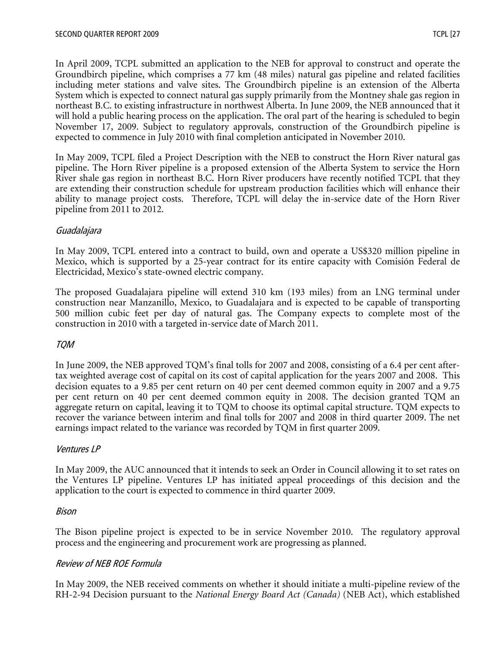In April 2009, TCPL submitted an application to the NEB for approval to construct and operate the Groundbirch pipeline, which comprises a 77 km (48 miles) natural gas pipeline and related facilities including meter stations and valve sites. The Groundbirch pipeline is an extension of the Alberta System which is expected to connect natural gas supply primarily from the Montney shale gas region in northeast B.C. to existing infrastructure in northwest Alberta. In June 2009, the NEB announced that it will hold a public hearing process on the application. The oral part of the hearing is scheduled to begin November 17, 2009. Subject to regulatory approvals, construction of the Groundbirch pipeline is expected to commence in July 2010 with final completion anticipated in November 2010.

In May 2009, TCPL filed a Project Description with the NEB to construct the Horn River natural gas pipeline. The Horn River pipeline is a proposed extension of the Alberta System to service the Horn River shale gas region in northeast B.C. Horn River producers have recently notified TCPL that they are extending their construction schedule for upstream production facilities which will enhance their ability to manage project costs. Therefore, TCPL will delay the in-service date of the Horn River pipeline from 2011 to 2012.

## Guadalajara

In May 2009, TCPL entered into a contract to build, own and operate a US\$320 million pipeline in Mexico, which is supported by a 25-year contract for its entire capacity with Comisión Federal de Electricidad, Mexico's state-owned electric company.

The proposed Guadalajara pipeline will extend 310 km (193 miles) from an LNG terminal under construction near Manzanillo, Mexico, to Guadalajara and is expected to be capable of transporting 500 million cubic feet per day of natural gas. The Company expects to complete most of the construction in 2010 with a targeted in-service date of March 2011.

# TQM

In June 2009, the NEB approved TQM's final tolls for 2007 and 2008, consisting of a 6.4 per cent aftertax weighted average cost of capital on its cost of capital application for the years 2007 and 2008. This decision equates to a 9.85 per cent return on 40 per cent deemed common equity in 2007 and a 9.75 per cent return on 40 per cent deemed common equity in 2008. The decision granted TQM an aggregate return on capital, leaving it to TQM to choose its optimal capital structure. TQM expects to recover the variance between interim and final tolls for 2007 and 2008 in third quarter 2009. The net earnings impact related to the variance was recorded by TQM in first quarter 2009.

## Ventures LP

In May 2009, the AUC announced that it intends to seek an Order in Council allowing it to set rates on the Ventures LP pipeline. Ventures LP has initiated appeal proceedings of this decision and the application to the court is expected to commence in third quarter 2009.

## Bison

The Bison pipeline project is expected to be in service November 2010. The regulatory approval process and the engineering and procurement work are progressing as planned.

## Review of NEB ROE Formula

In May 2009, the NEB received comments on whether it should initiate a multi-pipeline review of the RH-2-94 Decision pursuant to the *National Energy Board Act (Canada)* (NEB Act), which established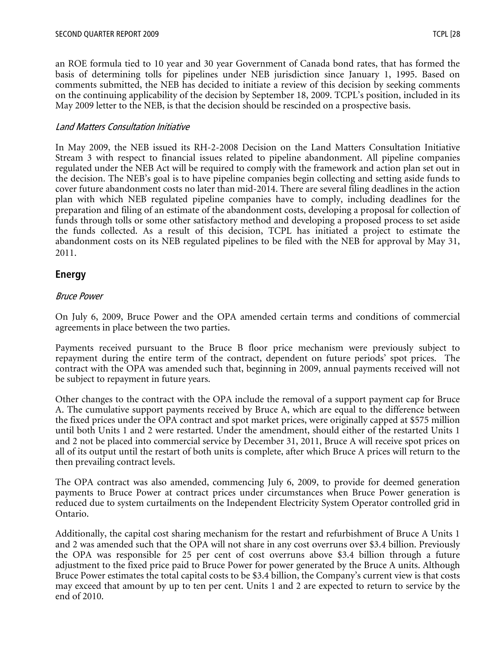an ROE formula tied to 10 year and 30 year Government of Canada bond rates, that has formed the basis of determining tolls for pipelines under NEB jurisdiction since January 1, 1995. Based on comments submitted, the NEB has decided to initiate a review of this decision by seeking comments on the continuing applicability of the decision by September 18, 2009. TCPL's position, included in its May 2009 letter to the NEB, is that the decision should be rescinded on a prospective basis.

# Land Matters Consultation Initiative

In May 2009, the NEB issued its RH-2-2008 Decision on the Land Matters Consultation Initiative Stream 3 with respect to financial issues related to pipeline abandonment. All pipeline companies regulated under the NEB Act will be required to comply with the framework and action plan set out in the decision. The NEB's goal is to have pipeline companies begin collecting and setting aside funds to cover future abandonment costs no later than mid-2014. There are several filing deadlines in the action plan with which NEB regulated pipeline companies have to comply, including deadlines for the preparation and filing of an estimate of the abandonment costs, developing a proposal for collection of funds through tolls or some other satisfactory method and developing a proposed process to set aside the funds collected. As a result of this decision, TCPL has initiated a project to estimate the abandonment costs on its NEB regulated pipelines to be filed with the NEB for approval by May 31, 2011.

# **Energy**

# Bruce Power

On July 6, 2009, Bruce Power and the OPA amended certain terms and conditions of commercial agreements in place between the two parties.

Payments received pursuant to the Bruce B floor price mechanism were previously subject to repayment during the entire term of the contract, dependent on future periods' spot prices. The contract with the OPA was amended such that, beginning in 2009, annual payments received will not be subject to repayment in future years.

Other changes to the contract with the OPA include the removal of a support payment cap for Bruce A. The cumulative support payments received by Bruce A, which are equal to the difference between the fixed prices under the OPA contract and spot market prices, were originally capped at \$575 million until both Units 1 and 2 were restarted. Under the amendment, should either of the restarted Units 1 and 2 not be placed into commercial service by December 31, 2011, Bruce A will receive spot prices on all of its output until the restart of both units is complete, after which Bruce A prices will return to the then prevailing contract levels.

The OPA contract was also amended, commencing July 6, 2009, to provide for deemed generation payments to Bruce Power at contract prices under circumstances when Bruce Power generation is reduced due to system curtailments on the Independent Electricity System Operator controlled grid in Ontario.

Additionally, the capital cost sharing mechanism for the restart and refurbishment of Bruce A Units 1 and 2 was amended such that the OPA will not share in any cost overruns over \$3.4 billion. Previously the OPA was responsible for 25 per cent of cost overruns above \$3.4 billion through a future adjustment to the fixed price paid to Bruce Power for power generated by the Bruce A units. Although Bruce Power estimates the total capital costs to be \$3.4 billion, the Company's current view is that costs may exceed that amount by up to ten per cent. Units 1 and 2 are expected to return to service by the end of 2010.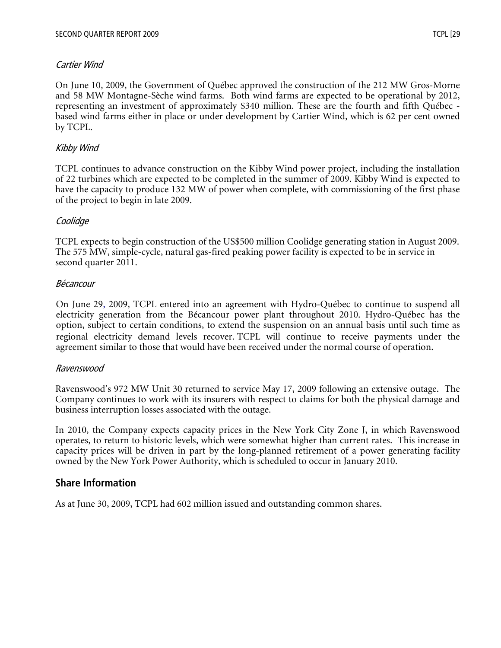## Cartier Wind

On June 10, 2009, the Government of Québec approved the construction of the 212 MW Gros-Morne and 58 MW Montagne-Sèche wind farms. Both wind farms are expected to be operational by 2012, representing an investment of approximately \$340 million. These are the fourth and fifth Québec based wind farms either in place or under development by Cartier Wind, which is 62 per cent owned by TCPL.

# Kibby Wind

TCPL continues to advance construction on the Kibby Wind power project, including the installation of 22 turbines which are expected to be completed in the summer of 2009. Kibby Wind is expected to have the capacity to produce 132 MW of power when complete, with commissioning of the first phase of the project to begin in late 2009.

## Coolidge

TCPL expects to begin construction of the US\$500 million Coolidge generating station in August 2009. The 575 MW, simple-cycle, natural gas-fired peaking power facility is expected to be in service in second quarter 2011.

## Bécancour

On June 29, 2009, TCPL entered into an agreement with Hydro-Québec to continue to suspend all electricity generation from the Bécancour power plant throughout 2010. Hydro-Québec has the option, subject to certain conditions, to extend the suspension on an annual basis until such time as regional electricity demand levels recover. TCPL will continue to receive payments under the agreement similar to those that would have been received under the normal course of operation.

## Ravenswood

Ravenswood's 972 MW Unit 30 returned to service May 17, 2009 following an extensive outage. The Company continues to work with its insurers with respect to claims for both the physical damage and business interruption losses associated with the outage.

In 2010, the Company expects capacity prices in the New York City Zone J, in which Ravenswood operates, to return to historic levels, which were somewhat higher than current rates. This increase in capacity prices will be driven in part by the long-planned retirement of a power generating facility owned by the New York Power Authority, which is scheduled to occur in January 2010.

# **Share Information**

As at June 30, 2009, TCPL had 602 million issued and outstanding common shares.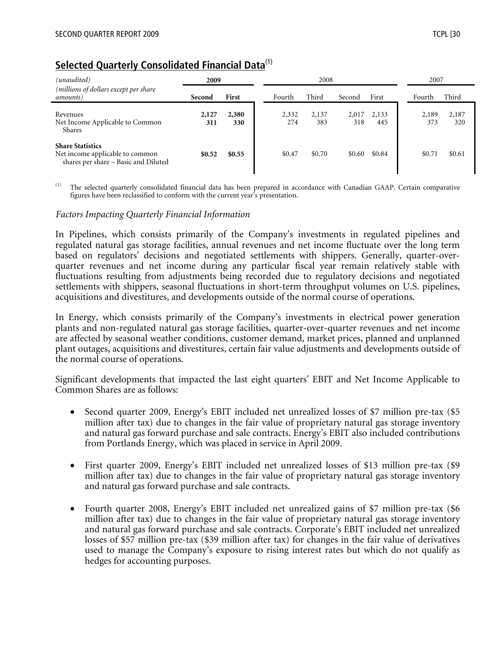# **Selected Quarterly Consolidated Financial Data**(1)

| (unaudited)<br>2009                                                                                |              | 2008         |              |              |              |              | 2007         |              |
|----------------------------------------------------------------------------------------------------|--------------|--------------|--------------|--------------|--------------|--------------|--------------|--------------|
| (millions of dollars except per share<br>amounts)                                                  | Second       | First        | Fourth       | Third        | Second       | First        | Fourth       | Third        |
| Revenues<br>Net Income Applicable to Common<br>Shares                                              | 2,127<br>311 | 2,380<br>330 | 2,332<br>274 | 2,137<br>383 | 2,017<br>318 | 2,133<br>445 | 2,189<br>373 | 2,187<br>320 |
| <b>Share Statistics</b><br>Net income applicable to common<br>shares per share - Basic and Diluted | \$0.52       | \$0.55       | \$0.47       | \$0.70       | \$0.60       | \$0.84       | \$0.71       | \$0.61       |

The selected quarterly consolidated financial data has been prepared in accordance with Canadian GAAP. Certain comparative figures have been reclassified to conform with the current year's presentation.

#### *Factors Impacting Quarterly Financial Information*

In Pipelines, which consists primarily of the Company's investments in regulated pipelines and regulated natural gas storage facilities, annual revenues and net income fluctuate over the long term based on regulators' decisions and negotiated settlements with shippers. Generally, quarter-overquarter revenues and net income during any particular fiscal year remain relatively stable with fluctuations resulting from adjustments being recorded due to regulatory decisions and negotiated settlements with shippers, seasonal fluctuations in short-term throughput volumes on U.S. pipelines, acquisitions and divestitures, and developments outside of the normal course of operations.

In Energy, which consists primarily of the Company's investments in electrical power generation plants and non-regulated natural gas storage facilities, quarter-over-quarter revenues and net income are affected by seasonal weather conditions, customer demand, market prices, planned and unplanned plant outages, acquisitions and divestitures, certain fair value adjustments and developments outside of the normal course of operations.

Significant developments that impacted the last eight quarters' EBIT and Net Income Applicable to Common Shares are as follows:

- Second quarter 2009, Energy's EBIT included net unrealized losses of \$7 million pre-tax (\$5 million after tax) due to changes in the fair value of proprietary natural gas storage inventory and natural gas forward purchase and sale contracts. Energy's EBIT also included contributions from Portlands Energy, which was placed in service in April 2009.
- First quarter 2009, Energy's EBIT included net unrealized losses of \$13 million pre-tax (\$9) million after tax) due to changes in the fair value of proprietary natural gas storage inventory and natural gas forward purchase and sale contracts.
- Fourth quarter 2008, Energy's EBIT included net unrealized gains of \$7 million pre-tax (\$6 million after tax) due to changes in the fair value of proprietary natural gas storage inventory and natural gas forward purchase and sale contracts. Corporate's EBIT included net unrealized losses of \$57 million pre-tax (\$39 million after tax) for changes in the fair value of derivatives used to manage the Company's exposure to rising interest rates but which do not qualify as hedges for accounting purposes.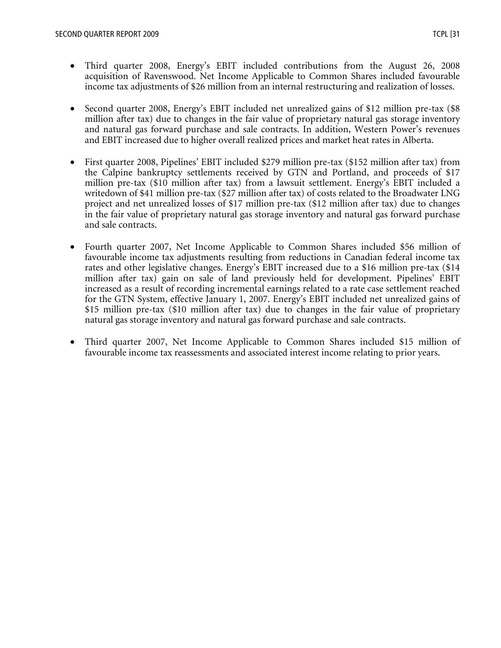- Third quarter 2008, Energy's EBIT included contributions from the August 26, 2008 acquisition of Ravenswood. Net Income Applicable to Common Shares included favourable income tax adjustments of \$26 million from an internal restructuring and realization of losses.
- Second quarter 2008, Energy's EBIT included net unrealized gains of \$12 million pre-tax (\$8 million after tax) due to changes in the fair value of proprietary natural gas storage inventory and natural gas forward purchase and sale contracts. In addition, Western Power's revenues and EBIT increased due to higher overall realized prices and market heat rates in Alberta.
- First quarter 2008, Pipelines' EBIT included \$279 million pre-tax (\$152 million after tax) from the Calpine bankruptcy settlements received by GTN and Portland, and proceeds of \$17 million pre-tax (\$10 million after tax) from a lawsuit settlement. Energy's EBIT included a writedown of \$41 million pre-tax (\$27 million after tax) of costs related to the Broadwater LNG project and net unrealized losses of \$17 million pre-tax (\$12 million after tax) due to changes in the fair value of proprietary natural gas storage inventory and natural gas forward purchase and sale contracts.
- Fourth quarter 2007, Net Income Applicable to Common Shares included \$56 million of favourable income tax adjustments resulting from reductions in Canadian federal income tax rates and other legislative changes. Energy's EBIT increased due to a \$16 million pre-tax (\$14 million after tax) gain on sale of land previously held for development. Pipelines' EBIT increased as a result of recording incremental earnings related to a rate case settlement reached for the GTN System, effective January 1, 2007. Energy's EBIT included net unrealized gains of \$15 million pre-tax (\$10 million after tax) due to changes in the fair value of proprietary natural gas storage inventory and natural gas forward purchase and sale contracts.
- Third quarter 2007, Net Income Applicable to Common Shares included \$15 million of favourable income tax reassessments and associated interest income relating to prior years.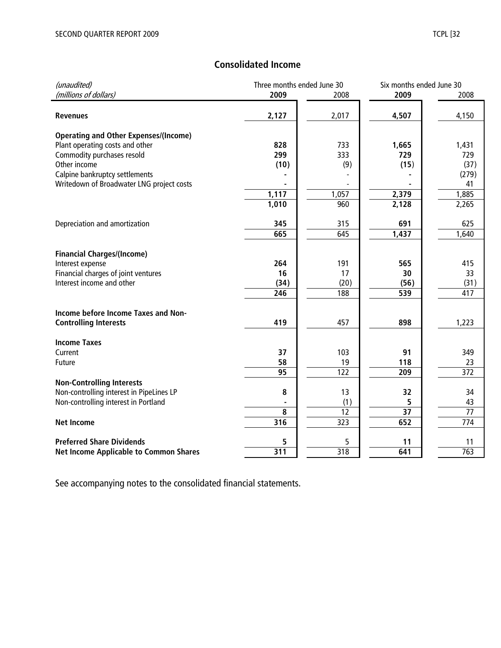# **Consolidated Income**

| (unaudited)                                   |       | Three months ended June 30 |                 | Six months ended June 30 |  |
|-----------------------------------------------|-------|----------------------------|-----------------|--------------------------|--|
| (millions of dollars)                         | 2009  | 2008                       | 2009            | 2008                     |  |
|                                               |       |                            |                 |                          |  |
| <b>Revenues</b>                               | 2,127 | 2,017                      | 4,507           | 4,150                    |  |
|                                               |       |                            |                 |                          |  |
| <b>Operating and Other Expenses/(Income)</b>  |       |                            |                 |                          |  |
| Plant operating costs and other               | 828   | 733                        | 1,665           | 1,431                    |  |
| Commodity purchases resold                    | 299   | 333                        | 729             | 729                      |  |
| Other income                                  | (10)  | (9)                        | (15)            | (37)                     |  |
| Calpine bankruptcy settlements                |       |                            |                 | (279)                    |  |
| Writedown of Broadwater LNG project costs     |       |                            |                 | 41                       |  |
|                                               | 1,117 | 1,057                      | 2,379           | 1,885                    |  |
|                                               | 1,010 | 960                        | 2,128           | 2,265                    |  |
|                                               |       |                            |                 |                          |  |
| Depreciation and amortization                 | 345   | 315                        | 691             | 625                      |  |
|                                               | 665   | 645                        | 1,437           | 1,640                    |  |
|                                               |       |                            |                 |                          |  |
| <b>Financial Charges/(Income)</b>             |       |                            |                 |                          |  |
| Interest expense                              | 264   | 191                        | 565             | 415                      |  |
| Financial charges of joint ventures           | 16    | 17                         | 30              | 33                       |  |
| Interest income and other                     | (34)  | (20)                       | (56)            | (31)                     |  |
|                                               | 246   | 188                        | 539             | 417                      |  |
|                                               |       |                            |                 |                          |  |
| Income before Income Taxes and Non-           |       |                            |                 |                          |  |
| <b>Controlling Interests</b>                  | 419   | 457                        | 898             | 1,223                    |  |
|                                               |       |                            |                 |                          |  |
| <b>Income Taxes</b>                           |       |                            |                 |                          |  |
| Current                                       | 37    | 103                        | 91              | 349                      |  |
| Future                                        | 58    | 19                         | 118             | 23                       |  |
|                                               | 95    | 122                        | 209             | 372                      |  |
| <b>Non-Controlling Interests</b>              |       |                            |                 |                          |  |
| Non-controlling interest in PipeLines LP      | 8     | 13                         | 32              | 34                       |  |
| Non-controlling interest in Portland          |       | (1)                        | 5               | 43                       |  |
|                                               | 8     | 12                         | $\overline{37}$ | $\overline{77}$          |  |
| <b>Net Income</b>                             | 316   | 323                        | 652             | 774                      |  |
|                                               |       |                            |                 |                          |  |
| <b>Preferred Share Dividends</b>              | 5     | 5                          | 11              | 11                       |  |
| <b>Net Income Applicable to Common Shares</b> | 311   | 318                        | 641             | 763                      |  |
|                                               |       |                            |                 |                          |  |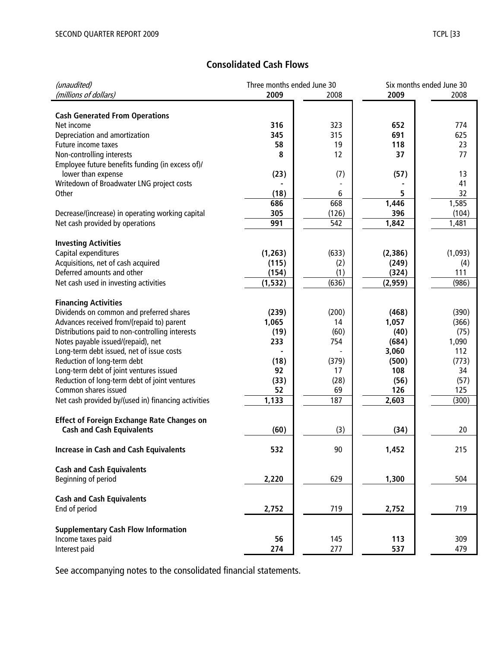# **Consolidated Cash Flows**

| (unaudited)                                         | Three months ended June 30 |       |          | Six months ended June 30 |
|-----------------------------------------------------|----------------------------|-------|----------|--------------------------|
| (millions of dollars)                               | 2009                       | 2008  | 2009     | 2008                     |
|                                                     |                            |       |          |                          |
| <b>Cash Generated From Operations</b>               |                            |       |          |                          |
| Net income                                          | 316                        | 323   | 652      | 774                      |
| Depreciation and amortization                       | 345                        | 315   | 691      | 625                      |
| Future income taxes                                 | 58                         | 19    | 118      | 23                       |
| Non-controlling interests                           | 8                          | 12    | 37       | 77                       |
| Employee future benefits funding (in excess of)/    |                            |       |          |                          |
| lower than expense                                  | (23)                       | (7)   | (57)     | 13                       |
| Writedown of Broadwater LNG project costs           |                            |       |          | 41                       |
| Other                                               | (18)                       | 6     | 5        | 32                       |
|                                                     | 686                        | 668   | 1,446    | 1,585                    |
| Decrease/(increase) in operating working capital    | 305                        | (126) | 396      | (104)                    |
| Net cash provided by operations                     | 991                        | 542   | 1,842    | 1,481                    |
|                                                     |                            |       |          |                          |
| <b>Investing Activities</b>                         |                            |       |          |                          |
| Capital expenditures                                | (1, 263)                   | (633) | (2, 386) | (1,093)                  |
| Acquisitions, net of cash acquired                  | (115)                      | (2)   | (249)    | (4)                      |
| Deferred amounts and other                          | (154)                      | (1)   | (324)    | 111                      |
| Net cash used in investing activities               | (1, 532)                   | (636) | (2,959)  | (986)                    |
|                                                     |                            |       |          |                          |
| <b>Financing Activities</b>                         |                            |       |          |                          |
| Dividends on common and preferred shares            | (239)                      | (200) | (468)    | (390)                    |
| Advances received from/(repaid to) parent           | 1,065                      | 14    | 1,057    | (366)                    |
| Distributions paid to non-controlling interests     | (19)                       | (60)  | (40)     | (75)                     |
| Notes payable issued/(repaid), net                  | 233                        | 754   | (684)    | 1,090                    |
| Long-term debt issued, net of issue costs           |                            |       | 3,060    | 112                      |
| Reduction of long-term debt                         | (18)                       | (379) | (500)    | (773)                    |
| Long-term debt of joint ventures issued             | 92                         | 17    | 108      | 34                       |
| Reduction of long-term debt of joint ventures       | (33)                       | (28)  | (56)     | (57)                     |
| Common shares issued                                | 52                         | 69    | 126      | 125                      |
| Net cash provided by/(used in) financing activities | 1,133                      | 187   | 2,603    | (300)                    |
|                                                     |                            |       |          |                          |
| <b>Effect of Foreign Exchange Rate Changes on</b>   |                            |       |          |                          |
| <b>Cash and Cash Equivalents</b>                    | (60)                       | (3)   | (34)     | 20                       |
|                                                     |                            |       |          |                          |
| <b>Increase in Cash and Cash Equivalents</b>        | 532                        | 90    | 1,452    | 215                      |
|                                                     |                            |       |          |                          |
| <b>Cash and Cash Equivalents</b>                    |                            |       |          |                          |
| Beginning of period                                 | 2,220                      | 629   | 1,300    | 504                      |
|                                                     |                            |       |          |                          |
| <b>Cash and Cash Equivalents</b>                    |                            |       |          |                          |
| End of period                                       | 2,752                      | 719   | 2,752    | 719                      |
|                                                     |                            |       |          |                          |
| <b>Supplementary Cash Flow Information</b>          |                            |       |          |                          |
| Income taxes paid                                   | 56                         | 145   | 113      | 309                      |
| Interest paid                                       | 274                        | 277   | 537      | 479                      |
|                                                     |                            |       |          |                          |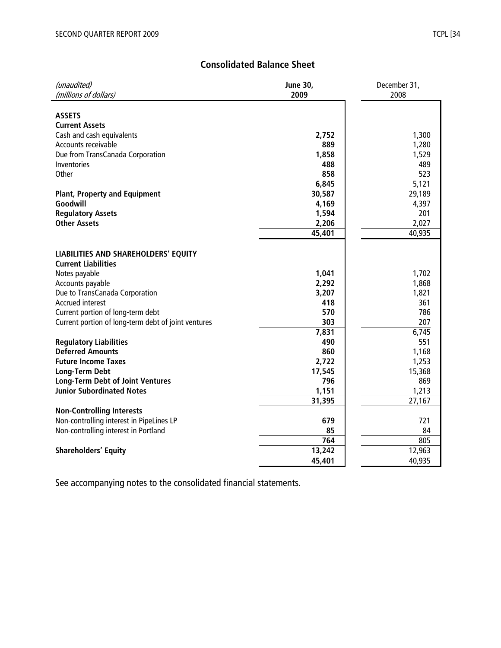# **Consolidated Balance Sheet**

| (unaudited)                                         | <b>June 30,</b> | December 31, |
|-----------------------------------------------------|-----------------|--------------|
| (millions of dollars)                               | 2009            | 2008         |
|                                                     |                 |              |
| <b>ASSETS</b>                                       |                 |              |
| <b>Current Assets</b>                               |                 |              |
| Cash and cash equivalents                           | 2,752           | 1,300        |
| Accounts receivable                                 | 889             | 1,280        |
| Due from TransCanada Corporation                    | 1,858           | 1,529        |
| Inventories                                         | 488             | 489          |
| Other                                               | 858             | 523          |
|                                                     | 6,845           | 5,121        |
| <b>Plant, Property and Equipment</b>                | 30,587          | 29,189       |
| Goodwill                                            | 4,169           | 4,397        |
| <b>Regulatory Assets</b>                            | 1,594           | 201          |
| <b>Other Assets</b>                                 | 2,206           | 2,027        |
|                                                     | 45,401          | 40,935       |
|                                                     |                 |              |
| <b>LIABILITIES AND SHAREHOLDERS' EQUITY</b>         |                 |              |
| <b>Current Liabilities</b>                          |                 |              |
| Notes payable                                       | 1,041           | 1,702        |
| Accounts payable                                    | 2,292           | 1,868        |
| Due to TransCanada Corporation                      | 3,207           | 1,821        |
| <b>Accrued interest</b>                             | 418             | 361          |
| Current portion of long-term debt                   | 570             | 786          |
| Current portion of long-term debt of joint ventures | 303             | 207          |
|                                                     | 7,831           | 6,745        |
| <b>Regulatory Liabilities</b>                       | 490             | 551          |
| <b>Deferred Amounts</b>                             | 860             | 1,168        |
| <b>Future Income Taxes</b>                          | 2,722           | 1,253        |
| <b>Long-Term Debt</b>                               | 17,545          | 15,368       |
| <b>Long-Term Debt of Joint Ventures</b>             | 796             | 869          |
| <b>Junior Subordinated Notes</b>                    | 1,151           | 1,213        |
|                                                     | 31,395          | 27,167       |
| <b>Non-Controlling Interests</b>                    |                 |              |
| Non-controlling interest in PipeLines LP            | 679             | 721          |
| Non-controlling interest in Portland                | 85              | 84           |
|                                                     | 764             | 805          |
| <b>Shareholders' Equity</b>                         | 13,242          | 12,963       |
|                                                     | 45,401          | 40,935       |
|                                                     |                 |              |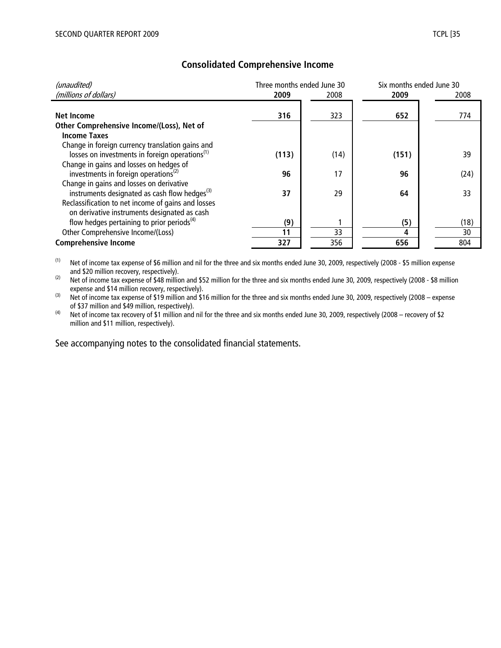| (unaudited)                                                                                                    | Three months ended June 30 |      | Six months ended June 30 |      |  |
|----------------------------------------------------------------------------------------------------------------|----------------------------|------|--------------------------|------|--|
| (millions of dollars)                                                                                          | 2009                       | 2008 | 2009                     | 2008 |  |
| <b>Net Income</b>                                                                                              | 316                        | 323  | 652                      | 774  |  |
| Other Comprehensive Income/(Loss), Net of                                                                      |                            |      |                          |      |  |
| <b>Income Taxes</b>                                                                                            |                            |      |                          |      |  |
| Change in foreign currency translation gains and<br>losses on investments in foreign operations <sup>(1)</sup> | (113)                      | (14) | (151)                    | 39   |  |
| Change in gains and losses on hedges of<br>investments in foreign operations <sup>(2)</sup>                    | 96                         | 17   | 96                       | (24) |  |
| Change in gains and losses on derivative<br>instruments designated as cash flow hedges <sup>(3)</sup>          | 37                         | 29   | 64                       | 33   |  |
| Reclassification to net income of gains and losses<br>on derivative instruments designated as cash             |                            |      |                          |      |  |
| flow hedges pertaining to prior periods <sup>(4)</sup>                                                         | (9)                        |      | (5)                      | (18) |  |
| Other Comprehensive Income/(Loss)                                                                              | 11                         | 33   | 4                        | 30   |  |
| <b>Comprehensive Income</b>                                                                                    | 327                        | 356  | 656                      | 804  |  |

# **Consolidated Comprehensive Income**

(1) Net of income tax expense of \$6 million and nil for the three and six months ended June 30, 2009, respectively (2008 - \$5 million expense and \$20 million recovery, respectively).

(2) Net of income tax expense of \$48 million and \$52 million for the three and six months ended June 30, 2009, respectively (2008 - \$8 million expense and \$14 million recovery, respectively).

 $^{(3)}$  Net of income tax expense of \$19 million and \$16 million for the three and six months ended June 30, 2009, respectively (2008 – expense of \$37 million and \$49 million, respectively).

(4) Net of income tax recovery of \$1 million and nil for the three and six months ended June 30, 2009, respectively (2008 – recovery of \$2 million and \$11 million, respectively).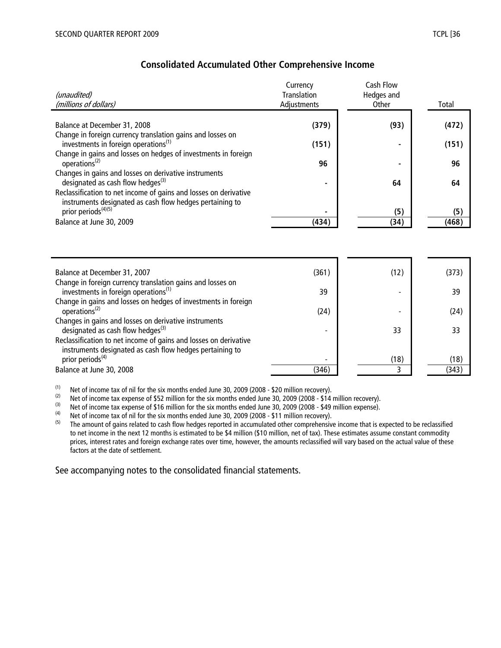| (unaudited)<br>(millions of dollars)                                                                                                                                          | Currency<br><b>Translation</b><br>Adjustments | Cash Flow<br>Hedges and<br>Other | Total |
|-------------------------------------------------------------------------------------------------------------------------------------------------------------------------------|-----------------------------------------------|----------------------------------|-------|
|                                                                                                                                                                               |                                               |                                  |       |
| Balance at December 31, 2008                                                                                                                                                  | (379)                                         | (93)                             | (472) |
| Change in foreign currency translation gains and losses on<br>investments in foreign operations <sup>(1)</sup>                                                                | (151)                                         |                                  | (151) |
| Change in gains and losses on hedges of investments in foreign<br>operations <sup>(2)</sup>                                                                                   | 96                                            |                                  | 96    |
| Changes in gains and losses on derivative instruments                                                                                                                         |                                               |                                  |       |
| designated as cash flow hedges <sup>(3)</sup><br>Reclassification to net income of gains and losses on derivative<br>instruments designated as cash flow hedges pertaining to |                                               | 64                               | 64    |
| prior periods <sup>(4)(5)</sup>                                                                                                                                               |                                               | (5)                              | (5)   |
| Balance at June 30, 2009                                                                                                                                                      | (434)                                         | (34)                             | (468) |
| Balance at December 31, 2007                                                                                                                                                  | (361)                                         | (12)                             | (373) |
| Change in foreign currency translation gains and losses on<br>investments in foreign operations <sup>(1)</sup>                                                                | 39                                            |                                  | 39    |
| Change in gains and losses on hedges of investments in foreign<br>operations <sup>(2)</sup>                                                                                   | (24)                                          |                                  | (24)  |
| Changes in gains and losses on derivative instruments<br>designated as cash flow hedges <sup>(3)</sup>                                                                        |                                               | 33                               | 33    |
| Reclassification to net income of gains and losses on derivative<br>instruments designated as cash flow hedges pertaining to                                                  |                                               |                                  |       |
| prior periods <sup>(4)</sup>                                                                                                                                                  |                                               | (18)                             | (18)  |
| Balance at June 30, 2008                                                                                                                                                      | (346)                                         | 3                                | (343) |

#### **Consolidated Accumulated Other Comprehensive Income**

(1) Net of income tax of nil for the six months ended June 30, 2009 (2008 - \$20 million recovery).<br>(2) Net of income tax expense of \$52 million for the six months ended June 30, 2009 (2008 - \$14)

(2) Net of income tax expense of \$52 million for the six months ended June 30, 2009 (2008 - \$14 million recovery).<br>(3) Net of income tax expense of \$16 million for the six months ended June 30, 2009 (2008 - \$49 million ex

(3) Net of income tax expense of \$16 million for the six months ended June 30, 2009 (2008 - \$49 million expense).<br>(4) Net of income tax of nil for the six months ended June 30, 2009 (2008 - \$11 million recovery)

(4) Net of income tax of nil for the six months ended June 30, 2009 (2008 - \$11 million recovery).<br>(5) The amount of gains related to cash flow hedges reported in accumulated other comprehensive

The amount of gains related to cash flow hedges reported in accumulated other comprehensive income that is expected to be reclassified to net income in the next 12 months is estimated to be \$4 million (\$10 million, net of tax). These estimates assume constant commodity prices, interest rates and foreign exchange rates over time, however, the amounts reclassified will vary based on the actual value of these factors at the date of settlement.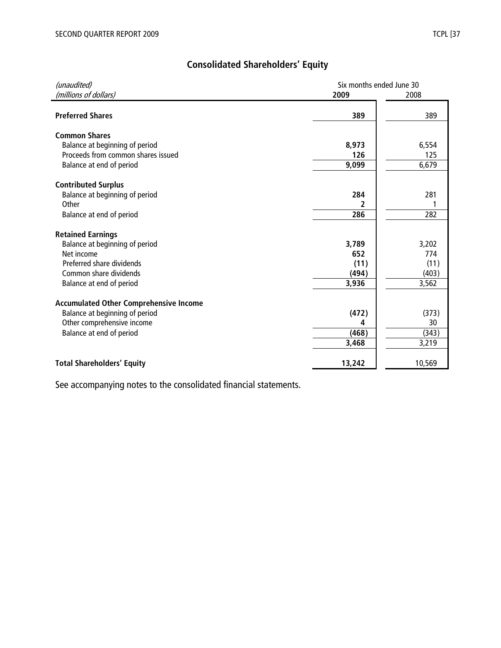# **Consolidated Shareholders' Equity**

| (unaudited)                                   | Six months ended June 30 |        |
|-----------------------------------------------|--------------------------|--------|
| (millions of dollars)                         | 2009                     | 2008   |
|                                               |                          |        |
| <b>Preferred Shares</b>                       | 389                      | 389    |
|                                               |                          |        |
| <b>Common Shares</b>                          |                          |        |
| Balance at beginning of period                | 8,973                    | 6,554  |
| Proceeds from common shares issued            | 126                      | 125    |
| Balance at end of period                      | 9,099                    | 6,679  |
|                                               |                          |        |
| <b>Contributed Surplus</b>                    | 284                      | 281    |
| Balance at beginning of period                |                          |        |
| Other                                         | 2                        |        |
| Balance at end of period                      | 286                      | 282    |
| <b>Retained Earnings</b>                      |                          |        |
| Balance at beginning of period                | 3,789                    | 3,202  |
| Net income                                    | 652                      | 774    |
| Preferred share dividends                     | (11)                     | (11)   |
| Common share dividends                        | (494)                    | (403)  |
| Balance at end of period                      | 3,936                    | 3,562  |
|                                               |                          |        |
| <b>Accumulated Other Comprehensive Income</b> |                          |        |
| Balance at beginning of period                | (472)                    | (373)  |
| Other comprehensive income                    | 4                        | 30     |
| Balance at end of period                      | (468)                    | (343)  |
|                                               | 3,468                    | 3,219  |
|                                               |                          |        |
| <b>Total Shareholders' Equity</b>             | 13,242                   | 10,569 |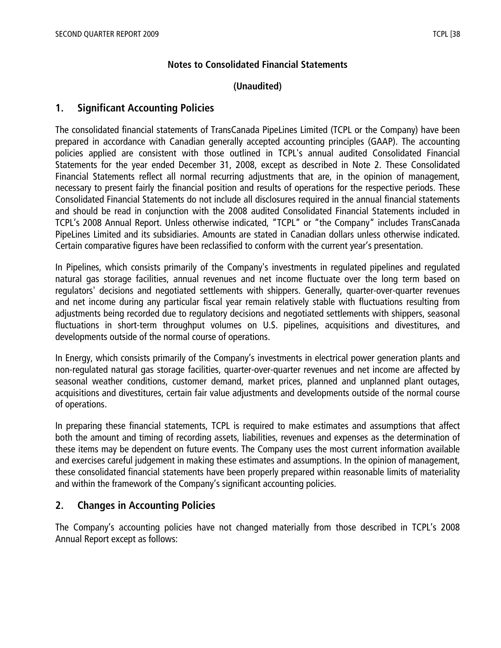## **Notes to Consolidated Financial Statements**

# **(Unaudited)**

# **1. Significant Accounting Policies**

The consolidated financial statements of TransCanada PipeLines Limited (TCPL or the Company) have been prepared in accordance with Canadian generally accepted accounting principles (GAAP). The accounting policies applied are consistent with those outlined in TCPL's annual audited Consolidated Financial Statements for the year ended December 31, 2008, except as described in Note 2. These Consolidated Financial Statements reflect all normal recurring adjustments that are, in the opinion of management, necessary to present fairly the financial position and results of operations for the respective periods. These Consolidated Financial Statements do not include all disclosures required in the annual financial statements and should be read in conjunction with the 2008 audited Consolidated Financial Statements included in TCPL's 2008 Annual Report. Unless otherwise indicated, "TCPL" or "the Company" includes TransCanada PipeLines Limited and its subsidiaries. Amounts are stated in Canadian dollars unless otherwise indicated. Certain comparative figures have been reclassified to conform with the current year's presentation.

In Pipelines, which consists primarily of the Company's investments in regulated pipelines and regulated natural gas storage facilities, annual revenues and net income fluctuate over the long term based on regulators' decisions and negotiated settlements with shippers. Generally, quarter-over-quarter revenues and net income during any particular fiscal year remain relatively stable with fluctuations resulting from adjustments being recorded due to regulatory decisions and negotiated settlements with shippers, seasonal fluctuations in short-term throughput volumes on U.S. pipelines, acquisitions and divestitures, and developments outside of the normal course of operations.

In Energy, which consists primarily of the Company's investments in electrical power generation plants and non-regulated natural gas storage facilities, quarter-over-quarter revenues and net income are affected by seasonal weather conditions, customer demand, market prices, planned and unplanned plant outages, acquisitions and divestitures, certain fair value adjustments and developments outside of the normal course of operations.

In preparing these financial statements, TCPL is required to make estimates and assumptions that affect both the amount and timing of recording assets, liabilities, revenues and expenses as the determination of these items may be dependent on future events. The Company uses the most current information available and exercises careful judgement in making these estimates and assumptions. In the opinion of management, these consolidated financial statements have been properly prepared within reasonable limits of materiality and within the framework of the Company's significant accounting policies.

# **2. Changes in Accounting Policies**

The Company's accounting policies have not changed materially from those described in TCPL's 2008 Annual Report except as follows: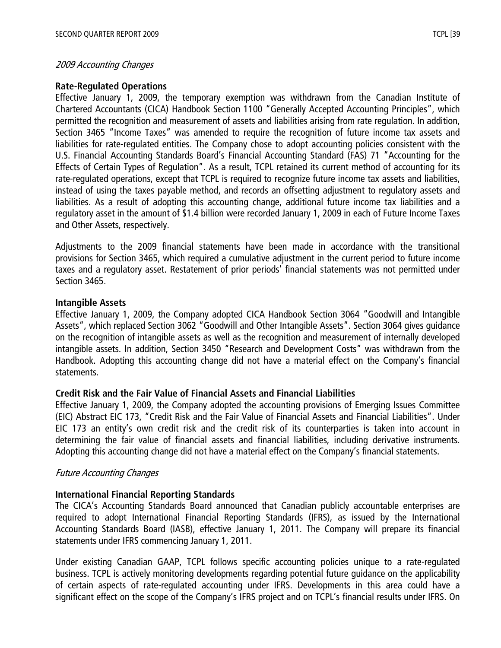## 2009 Accounting Changes

#### **Rate-Regulated Operations**

Effective January 1, 2009, the temporary exemption was withdrawn from the Canadian Institute of Chartered Accountants (CICA) Handbook Section 1100 "Generally Accepted Accounting Principles", which permitted the recognition and measurement of assets and liabilities arising from rate regulation. In addition, Section 3465 "Income Taxes" was amended to require the recognition of future income tax assets and liabilities for rate-regulated entities. The Company chose to adopt accounting policies consistent with the U.S. Financial Accounting Standards Board's Financial Accounting Standard (FAS) 71 "Accounting for the Effects of Certain Types of Regulation". As a result, TCPL retained its current method of accounting for its rate-regulated operations, except that TCPL is required to recognize future income tax assets and liabilities, instead of using the taxes payable method, and records an offsetting adjustment to regulatory assets and liabilities. As a result of adopting this accounting change, additional future income tax liabilities and a regulatory asset in the amount of \$1.4 billion were recorded January 1, 2009 in each of Future Income Taxes and Other Assets, respectively.

Adjustments to the 2009 financial statements have been made in accordance with the transitional provisions for Section 3465, which required a cumulative adjustment in the current period to future income taxes and a regulatory asset. Restatement of prior periods' financial statements was not permitted under Section 3465.

#### **Intangible Assets**

Effective January 1, 2009, the Company adopted CICA Handbook Section 3064 "Goodwill and Intangible Assets", which replaced Section 3062 "Goodwill and Other Intangible Assets". Section 3064 gives guidance on the recognition of intangible assets as well as the recognition and measurement of internally developed intangible assets. In addition, Section 3450 "Research and Development Costs" was withdrawn from the Handbook. Adopting this accounting change did not have a material effect on the Company's financial statements.

## **Credit Risk and the Fair Value of Financial Assets and Financial Liabilities**

Effective January 1, 2009, the Company adopted the accounting provisions of Emerging Issues Committee (EIC) Abstract EIC 173, "Credit Risk and the Fair Value of Financial Assets and Financial Liabilities". Under EIC 173 an entity's own credit risk and the credit risk of its counterparties is taken into account in determining the fair value of financial assets and financial liabilities, including derivative instruments. Adopting this accounting change did not have a material effect on the Company's financial statements.

## Future Accounting Changes

## **International Financial Reporting Standards**

The CICA's Accounting Standards Board announced that Canadian publicly accountable enterprises are required to adopt International Financial Reporting Standards (IFRS), as issued by the International Accounting Standards Board (IASB), effective January 1, 2011. The Company will prepare its financial statements under IFRS commencing January 1, 2011.

Under existing Canadian GAAP, TCPL follows specific accounting policies unique to a rate-regulated business. TCPL is actively monitoring developments regarding potential future guidance on the applicability of certain aspects of rate-regulated accounting under IFRS. Developments in this area could have a significant effect on the scope of the Company's IFRS project and on TCPL's financial results under IFRS. On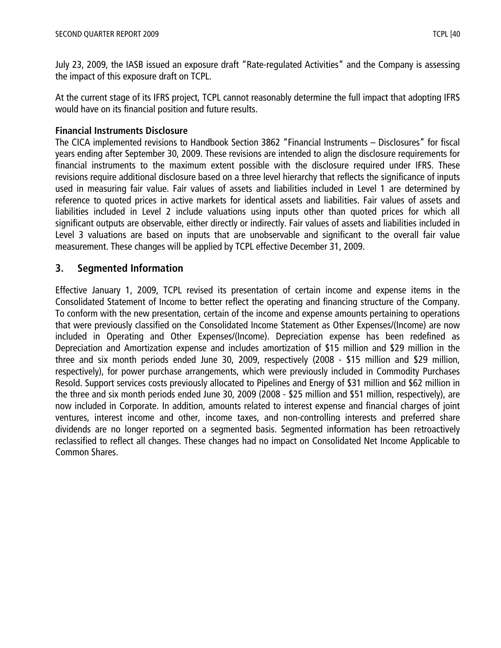July 23, 2009, the IASB issued an exposure draft "Rate-regulated Activities" and the Company is assessing the impact of this exposure draft on TCPL.

At the current stage of its IFRS project, TCPL cannot reasonably determine the full impact that adopting IFRS would have on its financial position and future results.

# **Financial Instruments Disclosure**

The CICA implemented revisions to Handbook Section 3862 "Financial Instruments – Disclosures" for fiscal years ending after September 30, 2009. These revisions are intended to align the disclosure requirements for financial instruments to the maximum extent possible with the disclosure required under IFRS. These revisions require additional disclosure based on a three level hierarchy that reflects the significance of inputs used in measuring fair value. Fair values of assets and liabilities included in Level 1 are determined by reference to quoted prices in active markets for identical assets and liabilities. Fair values of assets and liabilities included in Level 2 include valuations using inputs other than quoted prices for which all significant outputs are observable, either directly or indirectly. Fair values of assets and liabilities included in Level 3 valuations are based on inputs that are unobservable and significant to the overall fair value measurement. These changes will be applied by TCPL effective December 31, 2009.

# **3. Segmented Information**

Effective January 1, 2009, TCPL revised its presentation of certain income and expense items in the Consolidated Statement of Income to better reflect the operating and financing structure of the Company. To conform with the new presentation, certain of the income and expense amounts pertaining to operations that were previously classified on the Consolidated Income Statement as Other Expenses/(Income) are now included in Operating and Other Expenses/(Income). Depreciation expense has been redefined as Depreciation and Amortization expense and includes amortization of \$15 million and \$29 million in the three and six month periods ended June 30, 2009, respectively (2008 - \$15 million and \$29 million, respectively), for power purchase arrangements, which were previously included in Commodity Purchases Resold. Support services costs previously allocated to Pipelines and Energy of \$31 million and \$62 million in the three and six month periods ended June 30, 2009 (2008 - \$25 million and \$51 million, respectively), are now included in Corporate. In addition, amounts related to interest expense and financial charges of joint ventures, interest income and other, income taxes, and non-controlling interests and preferred share dividends are no longer reported on a segmented basis. Segmented information has been retroactively reclassified to reflect all changes. These changes had no impact on Consolidated Net Income Applicable to Common Shares.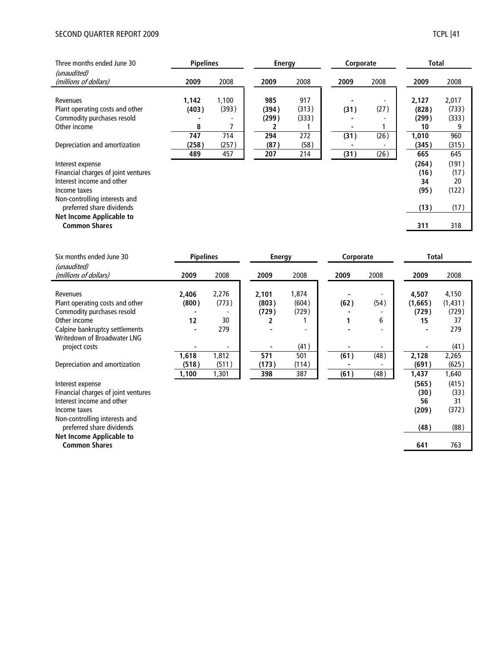#### SECOND QUARTER REPORT 2009 TCPL [41

|--|--|

| Three months ended June 30                                                                                                            | <b>Pipelines</b>    |                     | <b>Energy</b>         |                       |              | Corporate    |                               | Total                        |  |
|---------------------------------------------------------------------------------------------------------------------------------------|---------------------|---------------------|-----------------------|-----------------------|--------------|--------------|-------------------------------|------------------------------|--|
| (unaudited)<br>(millions of dollars)                                                                                                  | 2009                | 2008                | 2009                  | 2008                  | 2009         | 2008         | 2009                          | 2008                         |  |
| Revenues<br>Plant operating costs and other<br>Commodity purchases resold<br>Other income                                             | 1,142<br>(403)<br>8 | 1,100<br>(393)      | 985<br>(394)<br>(299) | 917<br>(313)<br>(333) | (31)         | (27)         | 2,127<br>(828)<br>(299)<br>10 | 2,017<br>(733)<br>(333)<br>9 |  |
| Depreciation and amortization                                                                                                         | 747<br>(258)<br>489 | 714<br>(257)<br>457 | 294<br>(87)<br>207    | 272<br>(58)<br>214    | (31)<br>(31) | (26)<br>(26) | 1,010<br>(345)<br>665         | 960<br>(315)<br>645          |  |
| Interest expense<br>Financial charges of joint ventures<br>Interest income and other<br>Income taxes<br>Non-controlling interests and |                     |                     |                       |                       |              |              | (264)<br>(16)<br>34<br>(95)   | (191)<br>(17)<br>20<br>(122) |  |
| preferred share dividends                                                                                                             |                     |                     |                       |                       |              |              | (13)                          | (17)                         |  |
| Net Income Applicable to<br><b>Common Shares</b>                                                                                      |                     |                     |                       |                       |              |              | 311                           | 318                          |  |

| Six months ended June 30                                                                                                                                   | <b>Pipelines</b>     |                             |                         | <b>Energy</b>           |      | Corporate |                                       | Total                                   |
|------------------------------------------------------------------------------------------------------------------------------------------------------------|----------------------|-----------------------------|-------------------------|-------------------------|------|-----------|---------------------------------------|-----------------------------------------|
| (unaudited)<br>(millions of dollars)                                                                                                                       | 2009                 | 2008                        | 2009                    | 2008                    | 2009 | 2008      | 2009                                  | 2008                                    |
| Revenues<br>Plant operating costs and other<br>Commodity purchases resold<br>Other income<br>Calpine bankruptcy settlements<br>Writedown of Broadwater LNG | 2,406<br>(800)<br>12 | 2,276<br>(773)<br>30<br>279 | 2,101<br>(803)<br>(729) | 1,874<br>(604)<br>(729) | (62) | (54)<br>6 | 4,507<br>(1,665)<br>(729)<br>15       | 4,150<br>(1, 431)<br>(729)<br>37<br>279 |
| project costs                                                                                                                                              |                      |                             |                         | (41)                    |      |           |                                       | (41)                                    |
| Depreciation and amortization                                                                                                                              | 1,618<br>(518)       | 1,812<br>(511)              | 571<br>(173)            | 501<br>(114)            | (61) | (48)      | 2,128<br>(691)                        | 2,265<br>(625)                          |
| Interest expense<br>Financial charges of joint ventures<br>Interest income and other<br>Income taxes<br>Non-controlling interests and                      | 1,100                | 1,301                       | 398                     | 387                     | (61) | (48)      | 1,437<br>(565)<br>(30)<br>56<br>(209) | 1,640<br>(415)<br>(33)<br>31<br>(372)   |
| preferred share dividends                                                                                                                                  |                      |                             |                         |                         |      |           | (48)                                  | (88)                                    |
| Net Income Applicable to<br><b>Common Shares</b>                                                                                                           |                      |                             |                         |                         |      |           | 641                                   | 763                                     |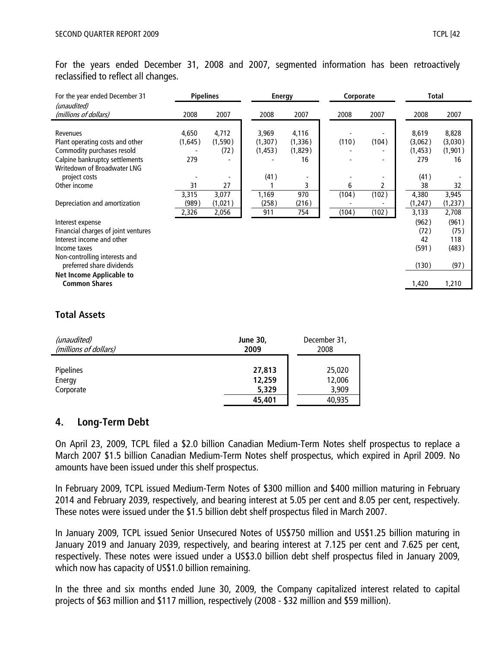For the years ended December 31, 2008 and 2007, segmented information has been retroactively reclassified to reflect all changes.

| For the year ended December 31                                                                                                                                              | <b>Pipelines</b>              |                                |                                      | <b>Energy</b>                           |                | Corporate      |                                                  | <b>Total</b>                            |  |
|-----------------------------------------------------------------------------------------------------------------------------------------------------------------------------|-------------------------------|--------------------------------|--------------------------------------|-----------------------------------------|----------------|----------------|--------------------------------------------------|-----------------------------------------|--|
| (unaudited)<br>(millions of dollars)                                                                                                                                        | 2008                          | 2007                           | 2008                                 | 2007                                    | 2008           | 2007           | 2008                                             | 2007                                    |  |
| Revenues<br>Plant operating costs and other<br>Commodity purchases resold<br>Calpine bankruptcy settlements<br>Writedown of Broadwater LNG<br>project costs<br>Other income | 4,650<br>(1,645)<br>279<br>31 | 4,712<br>(1,590)<br>(72)<br>27 | 3,969<br>(1,307)<br>(1, 453)<br>(41) | 4,116<br>(1, 336)<br>(1,829)<br>16<br>3 | (110)<br>6     | (104)<br>2     | 8,619<br>(3,062)<br>(1,453)<br>279<br>(41)<br>38 | 8,828<br>(3,030)<br>(1,901)<br>16<br>32 |  |
| Depreciation and amortization                                                                                                                                               | 3,315<br>(989)<br>2,326       | 3,077<br>(1,021)<br>2,056      | 1,169<br>(258)<br>911                | 970<br>(216)<br>754                     | (104)<br>(104) | (102)<br>(102) | 4,380<br>(1,247)<br>3,133                        | 3,945<br>(1, 237)<br>2,708              |  |
| Interest expense<br>Financial charges of joint ventures<br>Interest income and other<br>Income taxes<br>Non-controlling interests and                                       |                               |                                |                                      |                                         |                |                | (962)<br>(72)<br>42<br>(591)                     | (961)<br>(75)<br>118<br>(483)           |  |
| preferred share dividends<br>Net Income Applicable to<br><b>Common Shares</b>                                                                                               |                               |                                |                                      |                                         |                |                | (130)<br>1,420                                   | (97)<br>1,210                           |  |

# **Total Assets**

| (unaudited)           | <b>June 30,</b> | December 31, |
|-----------------------|-----------------|--------------|
| (millions of dollars) | 2009            | 2008         |
| <b>Pipelines</b>      | 27,813          | 25,020       |
| Energy                | 12,259          | 12,006       |
| Corporate             | 5,329           | 3,909        |
|                       | 45,401          | 40,935       |

# **4. Long-Term Debt**

On April 23, 2009, TCPL filed a \$2.0 billion Canadian Medium-Term Notes shelf prospectus to replace a March 2007 \$1.5 billion Canadian Medium-Term Notes shelf prospectus, which expired in April 2009. No amounts have been issued under this shelf prospectus.

In February 2009, TCPL issued Medium-Term Notes of \$300 million and \$400 million maturing in February 2014 and February 2039, respectively, and bearing interest at 5.05 per cent and 8.05 per cent, respectively. These notes were issued under the \$1.5 billion debt shelf prospectus filed in March 2007.

In January 2009, TCPL issued Senior Unsecured Notes of US\$750 million and US\$1.25 billion maturing in January 2019 and January 2039, respectively, and bearing interest at 7.125 per cent and 7.625 per cent, respectively. These notes were issued under a US\$3.0 billion debt shelf prospectus filed in January 2009, which now has capacity of US\$1.0 billion remaining.

In the three and six months ended June 30, 2009, the Company capitalized interest related to capital projects of \$63 million and \$117 million, respectively (2008 - \$32 million and \$59 million).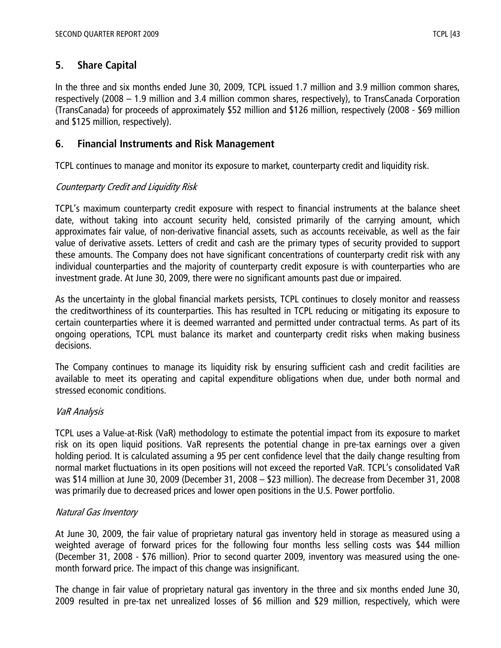# **5. Share Capital**

In the three and six months ended June 30, 2009, TCPL issued 1.7 million and 3.9 million common shares, respectively (2008 – 1.9 million and 3.4 million common shares, respectively), to TransCanada Corporation (TransCanada) for proceeds of approximately \$52 million and \$126 million, respectively (2008 - \$69 million and \$125 million, respectively).

# **6. Financial Instruments and Risk Management**

TCPL continues to manage and monitor its exposure to market, counterparty credit and liquidity risk.

# Counterparty Credit and Liquidity Risk

TCPL's maximum counterparty credit exposure with respect to financial instruments at the balance sheet date, without taking into account security held, consisted primarily of the carrying amount, which approximates fair value, of non-derivative financial assets, such as accounts receivable, as well as the fair value of derivative assets. Letters of credit and cash are the primary types of security provided to support these amounts. The Company does not have significant concentrations of counterparty credit risk with any individual counterparties and the majority of counterparty credit exposure is with counterparties who are investment grade. At June 30, 2009, there were no significant amounts past due or impaired.

As the uncertainty in the global financial markets persists, TCPL continues to closely monitor and reassess the creditworthiness of its counterparties. This has resulted in TCPL reducing or mitigating its exposure to certain counterparties where it is deemed warranted and permitted under contractual terms. As part of its ongoing operations, TCPL must balance its market and counterparty credit risks when making business decisions.

The Company continues to manage its liquidity risk by ensuring sufficient cash and credit facilities are available to meet its operating and capital expenditure obligations when due, under both normal and stressed economic conditions.

# VaR Analysis

TCPL uses a Value-at-Risk (VaR) methodology to estimate the potential impact from its exposure to market risk on its open liquid positions. VaR represents the potential change in pre-tax earnings over a given holding period. It is calculated assuming a 95 per cent confidence level that the daily change resulting from normal market fluctuations in its open positions will not exceed the reported VaR. TCPL's consolidated VaR was \$14 million at June 30, 2009 (December 31, 2008 – \$23 million). The decrease from December 31, 2008 was primarily due to decreased prices and lower open positions in the U.S. Power portfolio.

# Natural Gas Inventory

At June 30, 2009, the fair value of proprietary natural gas inventory held in storage as measured using a weighted average of forward prices for the following four months less selling costs was \$44 million (December 31, 2008 - \$76 million). Prior to second quarter 2009, inventory was measured using the onemonth forward price. The impact of this change was insignificant.

The change in fair value of proprietary natural gas inventory in the three and six months ended June 30, 2009 resulted in pre-tax net unrealized losses of \$6 million and \$29 million, respectively, which were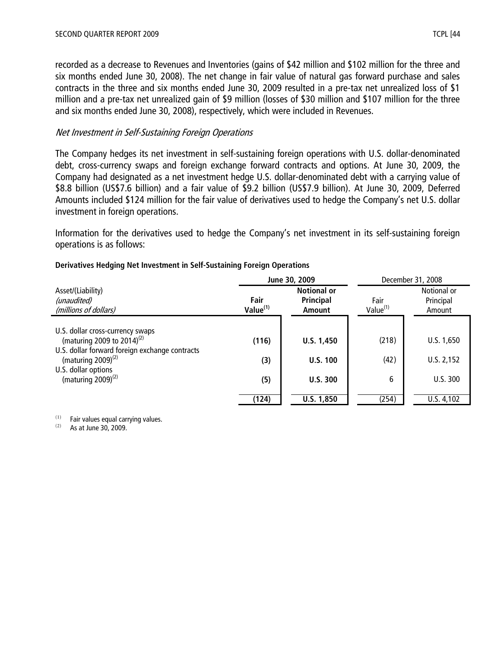recorded as a decrease to Revenues and Inventories (gains of \$42 million and \$102 million for the three and six months ended June 30, 2008). The net change in fair value of natural gas forward purchase and sales contracts in the three and six months ended June 30, 2009 resulted in a pre-tax net unrealized loss of \$1 million and a pre-tax net unrealized gain of \$9 million (losses of \$30 million and \$107 million for the three and six months ended June 30, 2008), respectively, which were included in Revenues.

## Net Investment in Self-Sustaining Foreign Operations

The Company hedges its net investment in self-sustaining foreign operations with U.S. dollar-denominated debt, cross-currency swaps and foreign exchange forward contracts and options. At June 30, 2009, the Company had designated as a net investment hedge U.S. dollar-denominated debt with a carrying value of \$8.8 billion (US\$7.6 billion) and a fair value of \$9.2 billion (US\$7.9 billion). At June 30, 2009, Deferred Amounts included \$124 million for the fair value of derivatives used to hedge the Company's net U.S. dollar investment in foreign operations.

Information for the derivatives used to hedge the Company's net investment in its self-sustaining foreign operations is as follows:

|                     |                                           | December 31, 2008           |                                       |  |
|---------------------|-------------------------------------------|-----------------------------|---------------------------------------|--|
| Fair<br>Value $(1)$ | <b>Notional or</b><br>Principal<br>Amount |                             | Notional or<br>Principal<br>Amount    |  |
|                     |                                           |                             |                                       |  |
| (116)               | U.S. 1,450                                | (218)                       | U.S. 1,650                            |  |
| (3)                 | <b>U.S. 100</b>                           | (42)                        | U.S. 2,152                            |  |
| (5)                 | U.S.300                                   | 6                           | U.S.300                               |  |
|                     |                                           |                             | U.S. 4,102                            |  |
|                     | (124)                                     | June 30, 2009<br>U.S. 1,850 | Fair<br>Value <sup>(1)</sup><br>(254) |  |

#### **Derivatives Hedging Net Investment in Self-Sustaining Foreign Operations**

 $(1)$  Fair values equal carrying values.

 $(2)$  As at June 30, 2009.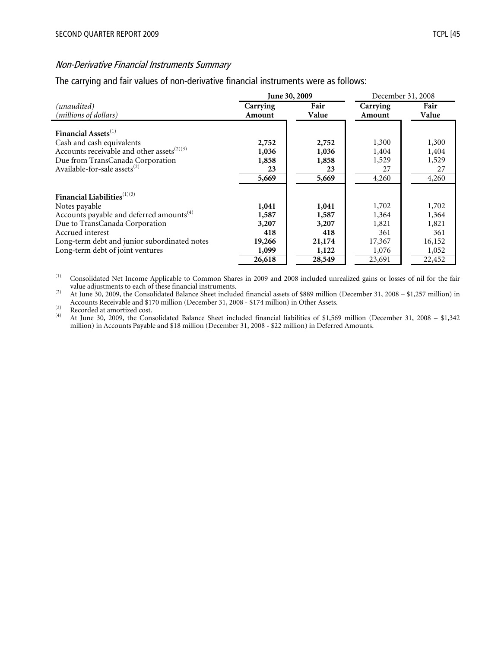#### Non-Derivative Financial Instruments Summary

The carrying and fair values of non-derivative financial instruments were as follows:

|                                                        |          | June 30, 2009 | December 31, 2008 |        |  |
|--------------------------------------------------------|----------|---------------|-------------------|--------|--|
| (unaudited)                                            | Carrying | Fair          | Carrying          | Fair   |  |
| (millions of dollars)                                  | Amount   | Value         | Amount            | Value  |  |
| Financial Assets <sup>(1)</sup>                        | 2,752    | 2,752         | 1,300             | 1,300  |  |
| Cash and cash equivalents                              | 1,036    | 1,036         | 1,404             | 1,404  |  |
| Accounts receivable and other assets <sup>(2)(3)</sup> | 1,858    | 1,858         | 1,529             | 1,529  |  |
| Due from TransCanada Corporation                       | 23       | 23            | 27                | 27     |  |
| Available-for-sale assets <sup>(2)</sup>               | 5,669    | 5,669         | 4,260             | 4,260  |  |
| Financial Liabilities <sup>(1)(3)</sup>                | 1,041    | 1,041         | 1,702             | 1,702  |  |
| Notes payable                                          | 1,587    | 1,587         | 1,364             | 1,364  |  |
| Accounts payable and deferred amounts <sup>(4)</sup>   | 3,207    | 3,207         | 1,821             | 1,821  |  |
| Due to TransCanada Corporation                         | 418      | 418           | 361               | 361    |  |
| Accrued interest                                       | 19,266   | 21,174        | 17,367            | 16,152 |  |
| Long-term debt and junior subordinated notes           | 1,099    | 1,122         | 1,076             | 1,052  |  |
| Long-term debt of joint ventures                       | 26,618   | 28,549        | 23,691            | 22,452 |  |

(1) Consolidated Net Income Applicable to Common Shares in 2009 and 2008 included unrealized gains or losses of nil for the fair

value adjustments to each of these financial instruments.<br>
(2) At June 30, 2009, the Consolidated Balance Sheet included financial assets of \$889 million (December 31, 2008 – \$1,257 million) in Accounts Receivable and \$170 million (December 31, 2008 - \$174 million) in Other Assets.<br>
(4)  $\frac{1}{2}$  Recorded at amortized cost.<br>
(4)  $\frac{1}{2}$  Recorded at amortized cost.

(4) At June 30, 2009, the Consolidated Balance Sheet included financial liabilities of \$1,569 million (December 31, 2008 – \$1,342 million) in Accounts Payable and \$18 million (December 31, 2008 - \$22 million) in Deferred Amounts.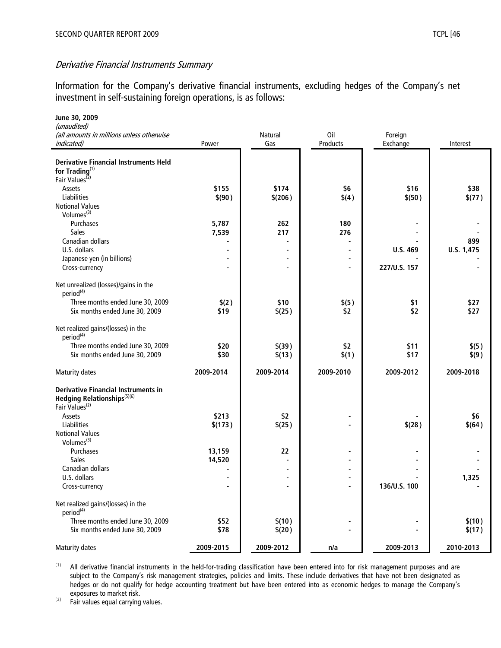Information for the Company's derivative financial instruments, excluding hedges of the Company's net investment in self-sustaining foreign operations, is as follows:

| June 30, 2009                                               |                |                       |                 |                     |            |
|-------------------------------------------------------------|----------------|-----------------------|-----------------|---------------------|------------|
| (unaudited)                                                 |                |                       |                 |                     |            |
| (all amounts in millions unless otherwise<br>indicated)     | Power          | <b>Natural</b><br>Gas | Oil<br>Products | Foreign<br>Exchange | Interest   |
|                                                             |                |                       |                 |                     |            |
| <b>Derivative Financial Instruments Held</b>                |                |                       |                 |                     |            |
| for Trading <sup>(1)</sup>                                  |                |                       |                 |                     |            |
| Fair Values <sup>(2)</sup>                                  |                |                       |                 |                     |            |
| Assets                                                      | \$155          | \$174                 | \$6             | \$16                | \$38       |
| Liabilities                                                 | \$(90)         | \$(206)               | \$(4)           | \$(50)              | \$(77)     |
| <b>Notional Values</b>                                      |                |                       |                 |                     |            |
| Volumes <sup>(3)</sup>                                      |                |                       |                 |                     |            |
| Purchases                                                   | 5,787          | 262                   | 180             |                     |            |
| <b>Sales</b>                                                | 7,539          | 217                   | 276             |                     |            |
| Canadian dollars                                            |                |                       |                 |                     | 899        |
| U.S. dollars                                                | $\blacksquare$ |                       |                 | U.S. 469            | U.S. 1,475 |
| Japanese yen (in billions)                                  | $\blacksquare$ |                       |                 |                     |            |
| Cross-currency                                              |                | $\blacksquare$        |                 | 227/U.S. 157        |            |
| Net unrealized (losses)/gains in the                        |                |                       |                 |                     |            |
| period <sup>(4)</sup>                                       |                |                       |                 |                     |            |
| Three months ended June 30, 2009                            | \$(2)          | \$10                  | \$(5)           | \$1                 | \$27       |
| Six months ended June 30, 2009                              | \$19           | \$(25)                | \$2             | \$2                 | \$27       |
|                                                             |                |                       |                 |                     |            |
| Net realized gains/(losses) in the<br>period <sup>(4)</sup> |                |                       |                 |                     |            |
| Three months ended June 30, 2009                            | \$20           | \$(39)                | \$2             | \$11                | \$(5)      |
| Six months ended June 30, 2009                              | \$30           | \$(13)                | \$(1)           | \$17                | \$(9)      |
|                                                             |                |                       |                 |                     |            |
| <b>Maturity dates</b>                                       | 2009-2014      | 2009-2014             | 2009-2010       | 2009-2012           | 2009-2018  |
| <b>Derivative Financial Instruments in</b>                  |                |                       |                 |                     |            |
| Hedging Relationships <sup>(5)(6)</sup>                     |                |                       |                 |                     |            |
| Fair Values <sup>(2)</sup>                                  |                |                       |                 |                     |            |
| Assets                                                      | \$213          | \$2                   |                 |                     | \$6        |
| Liabilities                                                 | \$(173)        | \$(25)                |                 | \$(28)              | \$(64)     |
| <b>Notional Values</b>                                      |                |                       |                 |                     |            |
| Volumes <sup>(3)</sup>                                      |                |                       |                 |                     |            |
| Purchases                                                   | 13,159         | 22                    |                 |                     |            |
| Sales                                                       | 14,520         |                       |                 |                     |            |
| Canadian dollars                                            |                |                       |                 |                     |            |
| U.S. dollars                                                |                |                       |                 |                     | 1,325      |
| Cross-currency                                              |                |                       |                 | 136/U.S. 100        |            |
| Net realized gains/(losses) in the<br>period <sup>(4)</sup> |                |                       |                 |                     |            |
| Three months ended June 30, 2009                            | \$52           | \$(10)                |                 |                     | \$(10)     |
| Six months ended June 30, 2009                              | \$78           | \$(20)                |                 |                     | \$(17)     |
| <b>Maturity dates</b>                                       | 2009-2015      | 2009-2012             | n/a             | 2009-2013           | 2010-2013  |
|                                                             |                |                       |                 |                     |            |

(1) All derivative financial instruments in the held-for-trading classification have been entered into for risk management purposes and are subject to the Company's risk management strategies, policies and limits. These include derivatives that have not been designated as hedges or do not qualify for hedge accounting treatment but have been entered into as economic hedges to manage the Company's exposures to market risk.

(2) Fair values equal carrying values.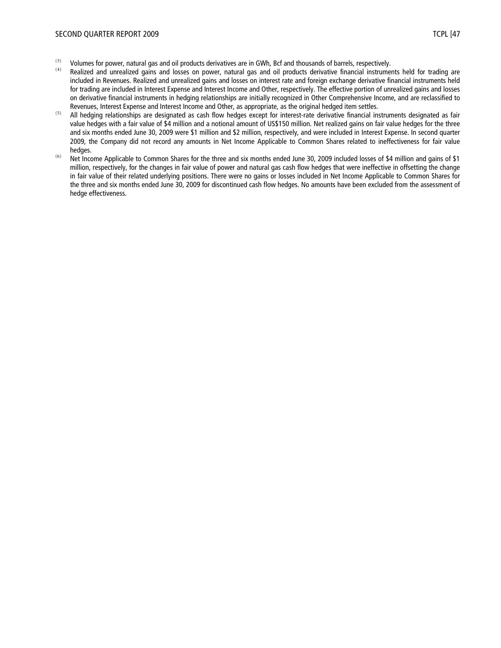- (3) Volumes for power, natural gas and oil products derivatives are in GWh, Bcf and thousands of barrels, respectively.
- Realized and unrealized gains and losses on power, natural gas and oil products derivative financial instruments held for trading are included in Revenues. Realized and unrealized gains and losses on interest rate and foreign exchange derivative financial instruments held for trading are included in Interest Expense and Interest Income and Other, respectively. The effective portion of unrealized gains and losses on derivative financial instruments in hedging relationships are initially recognized in Other Comprehensive Income, and are reclassified to Revenues, Interest Expense and Interest Income and Other, as appropriate, as the original hedged item settles.
- <sup>(5)</sup> All hedging relationships are designated as cash flow hedges except for interest-rate derivative financial instruments designated as fair value hedges with a fair value of \$4 million and a notional amount of US\$150 million. Net realized gains on fair value hedges for the three and six months ended June 30, 2009 were \$1 million and \$2 million, respectively, and were included in Interest Expense. In second quarter 2009, the Company did not record any amounts in Net Income Applicable to Common Shares related to ineffectiveness for fair value hedges.
- (6) Net Income Applicable to Common Shares for the three and six months ended June 30, 2009 included losses of \$4 million and gains of \$1 million, respectively, for the changes in fair value of power and natural gas cash flow hedges that were ineffective in offsetting the change in fair value of their related underlying positions. There were no gains or losses included in Net Income Applicable to Common Shares for the three and six months ended June 30, 2009 for discontinued cash flow hedges. No amounts have been excluded from the assessment of hedge effectiveness.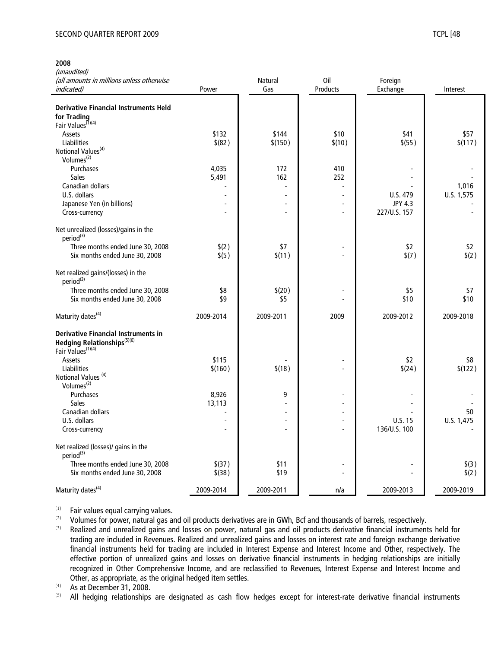#### SECOND QUARTER REPORT 2009 TCPL [48] TERMS TO THE SECOND QUARTER REPORT 2009

(unaudited)

| (all amounts in millions unless otherwise<br><i>indicated</i> )                                                        | Power                    | Natural<br>Gas | 0il<br>Products | Foreign<br>Exchange | Interest         |
|------------------------------------------------------------------------------------------------------------------------|--------------------------|----------------|-----------------|---------------------|------------------|
|                                                                                                                        |                          |                |                 |                     |                  |
| <b>Derivative Financial Instruments Held</b>                                                                           |                          |                |                 |                     |                  |
| for Trading                                                                                                            |                          |                |                 |                     |                  |
| Fair Values <sup>(1)(4)</sup>                                                                                          |                          |                |                 |                     |                  |
| Assets                                                                                                                 | \$132                    | \$144          | \$10            | \$41                | \$57             |
| Liabilities                                                                                                            | \$ (82)                  | \$(150)        | \$(10)          | \$ (55)             | \$(117)          |
| Notional Values <sup>(4)</sup>                                                                                         |                          |                |                 |                     |                  |
| Volumes $(2)$                                                                                                          |                          |                |                 |                     |                  |
| Purchases<br><b>Sales</b>                                                                                              | 4,035<br>5,491           | 172<br>162     | 410<br>252      |                     |                  |
| Canadian dollars                                                                                                       |                          |                |                 |                     | 1,016            |
| U.S. dollars                                                                                                           | $\sim$                   |                | L,              | U.S. 479            | U.S. 1,575       |
| Japanese Yen (in billions)                                                                                             |                          |                |                 | <b>JPY 4.3</b>      |                  |
| Cross-currency                                                                                                         |                          |                | $\overline{a}$  | 227/U.S. 157        |                  |
|                                                                                                                        |                          |                |                 |                     |                  |
| Net unrealized (losses)/gains in the<br>period <sup>(3)</sup>                                                          |                          |                |                 |                     |                  |
| Three months ended June 30, 2008                                                                                       | \$(2)                    | \$7            |                 | \$2                 | \$2              |
| Six months ended June 30, 2008                                                                                         | \$(5)                    | \$(11)         |                 | \$(7)               | \$(2)            |
| Net realized gains/(losses) in the<br>period <sup>(3)</sup>                                                            |                          |                |                 |                     |                  |
| Three months ended June 30, 2008                                                                                       | \$8                      | \$(20)         |                 | \$5                 | \$7              |
| Six months ended June 30, 2008                                                                                         | \$9                      | \$5            |                 | \$10                | \$10             |
| Maturity dates <sup>(4)</sup>                                                                                          | 2009-2014                | 2009-2011      | 2009            | 2009-2012           | 2009-2018        |
| <b>Derivative Financial Instruments in</b><br>Hedging Relationships <sup>(5)(6)</sup><br>Fair Values <sup>(1)(4)</sup> |                          |                |                 |                     |                  |
| Assets                                                                                                                 | \$115                    |                | $\overline{a}$  | \$2                 | \$8              |
| <b>Liabilities</b>                                                                                                     | \$(160)                  | \$(18)         |                 | \$(24)              | \$(122)          |
| Notional Values <sup>(4)</sup>                                                                                         |                          |                |                 |                     |                  |
| Volumes <sup>(2)</sup>                                                                                                 |                          |                |                 |                     |                  |
| Purchases                                                                                                              | 8,926                    | 9              |                 |                     |                  |
| <b>Sales</b><br>Canadian dollars                                                                                       | 13,113<br>$\overline{a}$ |                |                 |                     |                  |
| U.S. dollars                                                                                                           |                          |                |                 | U.S. 15             | 50<br>U.S. 1,475 |
| Cross-currency                                                                                                         |                          |                | L,              | 136/U.S. 100        |                  |
|                                                                                                                        |                          |                |                 |                     |                  |
| Net realized (losses)/ gains in the<br>period <sup>(3)</sup>                                                           |                          |                |                 |                     |                  |
| Three months ended June 30, 2008                                                                                       | \$(37)                   | \$11           |                 |                     | \$(3)            |
| Six months ended June 30, 2008                                                                                         | $$$ (38)                 | \$19           |                 |                     | \$(2)            |
| Maturity dates <sup>(4)</sup>                                                                                          | 2009-2014                | 2009-2011      | n/a             | 2009-2013           | 2009-2019        |

 $(1)$  Fair values equal carrying values.

(2) Volumes for power, natural gas and oil products derivatives are in GWh, Bcf and thousands of barrels, respectively.<br>(3) Bealized and unrealized gains and losses on power, natural gas and oil products derivative financ

Realized and unrealized gains and losses on power, natural gas and oil products derivative financial instruments held for trading are included in Revenues. Realized and unrealized gains and losses on interest rate and foreign exchange derivative financial instruments held for trading are included in Interest Expense and Interest Income and Other, respectively. The effective portion of unrealized gains and losses on derivative financial instruments in hedging relationships are initially recognized in Other Comprehensive Income, and are reclassified to Revenues, Interest Expense and Interest Income and Other, as appropriate, as the original hedged item settles.

 $(4)$  As at December 31, 2008.

All hedging relationships are designated as cash flow hedges except for interest-rate derivative financial instruments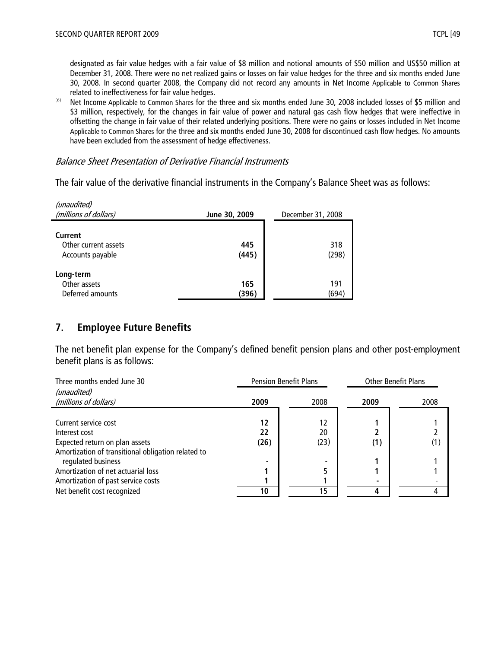designated as fair value hedges with a fair value of \$8 million and notional amounts of \$50 million and US\$50 million at December 31, 2008. There were no net realized gains or losses on fair value hedges for the three and six months ended June 30, 2008. In second quarter 2008, the Company did not record any amounts in Net Income Applicable to Common Shares related to ineffectiveness for fair value hedges.

(6) Net Income Applicable to Common Shares for the three and six months ended June 30, 2008 included losses of \$5 million and \$3 million, respectively, for the changes in fair value of power and natural gas cash flow hedges that were ineffective in offsetting the change in fair value of their related underlying positions. There were no gains or losses included in Net Income Applicable to Common Shares for the three and six months ended June 30, 2008 for discontinued cash flow hedges. No amounts have been excluded from the assessment of hedge effectiveness.

#### Balance Sheet Presentation of Derivative Financial Instruments

The fair value of the derivative financial instruments in the Company's Balance Sheet was as follows:

| (unaudited)<br>(millions of dollars)                | June 30, 2009 | December 31, 2008 |  |  |
|-----------------------------------------------------|---------------|-------------------|--|--|
| Current<br>Other current assets<br>Accounts payable | 445<br>(445)  | 318<br>(298)      |  |  |
| Long-term<br>Other assets<br>Deferred amounts       | 165<br>(396)  | 191<br>(694)      |  |  |

# **7. Employee Future Benefits**

The net benefit plan expense for the Company's defined benefit pension plans and other post-employment benefit plans is as follows:

| Three months ended June 30                         | <b>Pension Benefit Plans</b> |      | <b>Other Benefit Plans</b> |      |
|----------------------------------------------------|------------------------------|------|----------------------------|------|
| (unaudited)                                        |                              |      |                            |      |
| (millions of dollars)                              | 2009                         | 2008 | 2009                       | 2008 |
|                                                    |                              |      |                            |      |
| Current service cost                               | 12                           | 12   |                            |      |
| Interest cost                                      | 22                           | 20   |                            |      |
| Expected return on plan assets                     | (26)                         | (23) |                            | (1)  |
| Amortization of transitional obligation related to |                              |      |                            |      |
| regulated business                                 |                              |      |                            |      |
| Amortization of net actuarial loss                 |                              |      |                            |      |
| Amortization of past service costs                 |                              |      |                            |      |
| Net benefit cost recognized                        | 10                           | 15   |                            |      |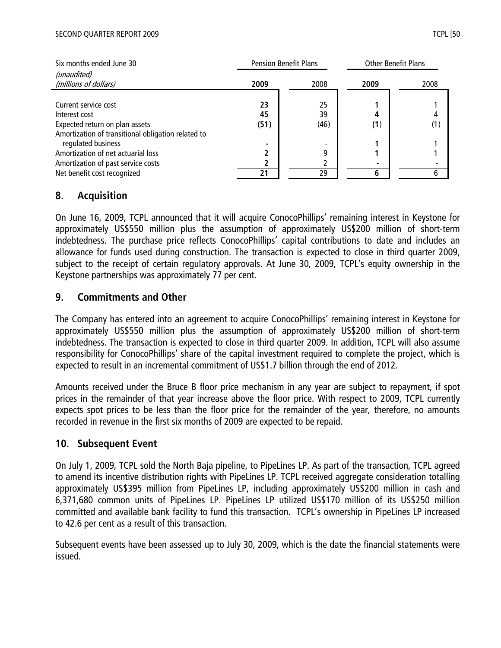| Six months ended June 30                           | <b>Pension Benefit Plans</b> |                          | <b>Other Benefit Plans</b> |              |
|----------------------------------------------------|------------------------------|--------------------------|----------------------------|--------------|
| (unaudited)                                        |                              |                          |                            |              |
| (millions of dollars)                              | 2009                         | 2008                     | 2009                       | 2008         |
|                                                    |                              |                          |                            |              |
| Current service cost                               | 23                           | 25                       |                            |              |
| Interest cost                                      | 45                           | 39                       |                            |              |
| Expected return on plan assets                     | (51)                         | (46)                     | (1)                        | $\mathbf{1}$ |
| Amortization of transitional obligation related to |                              |                          |                            |              |
| regulated business                                 | ۰                            | $\overline{\phantom{a}}$ |                            |              |
| Amortization of net actuarial loss                 | ר                            | q                        |                            |              |
| Amortization of past service costs                 |                              |                          |                            |              |
| Net benefit cost recognized                        | 21                           | 29                       |                            | 6            |

# **8. Acquisition**

On June 16, 2009, TCPL announced that it will acquire ConocoPhillips' remaining interest in Keystone for approximately US\$550 million plus the assumption of approximately US\$200 million of short-term indebtedness. The purchase price reflects ConocoPhillips' capital contributions to date and includes an allowance for funds used during construction. The transaction is expected to close in third quarter 2009, subject to the receipt of certain regulatory approvals. At June 30, 2009, TCPL's equity ownership in the Keystone partnerships was approximately 77 per cent.

# **9. Commitments and Other**

The Company has entered into an agreement to acquire ConocoPhillips' remaining interest in Keystone for approximately US\$550 million plus the assumption of approximately US\$200 million of short-term indebtedness. The transaction is expected to close in third quarter 2009. In addition, TCPL will also assume responsibility for ConocoPhillips' share of the capital investment required to complete the project, which is expected to result in an incremental commitment of US\$1.7 billion through the end of 2012.

Amounts received under the Bruce B floor price mechanism in any year are subject to repayment, if spot prices in the remainder of that year increase above the floor price. With respect to 2009, TCPL currently expects spot prices to be less than the floor price for the remainder of the year, therefore, no amounts recorded in revenue in the first six months of 2009 are expected to be repaid.

# **10. Subsequent Event**

On July 1, 2009, TCPL sold the North Baja pipeline, to PipeLines LP. As part of the transaction, TCPL agreed to amend its incentive distribution rights with PipeLines LP. TCPL received aggregate consideration totalling approximately US\$395 million from PipeLines LP, including approximately US\$200 million in cash and 6,371,680 common units of PipeLines LP. PipeLines LP utilized US\$170 million of its US\$250 million committed and available bank facility to fund this transaction. TCPL's ownership in PipeLines LP increased to 42.6 per cent as a result of this transaction.

Subsequent events have been assessed up to July 30, 2009, which is the date the financial statements were issued.